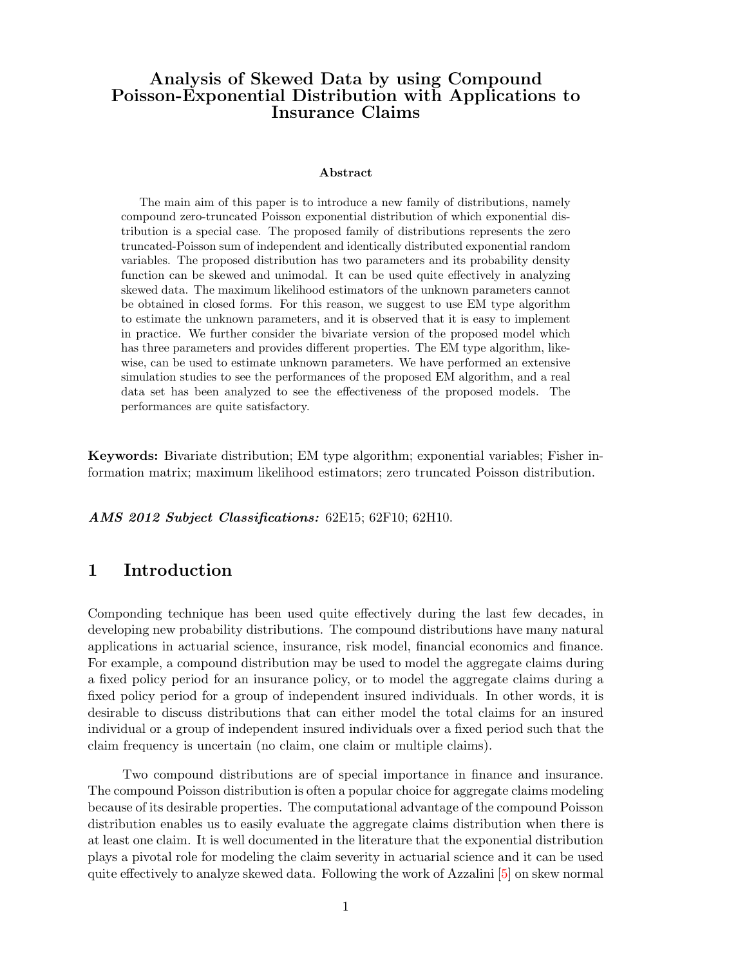## Analysis of Skewed Data by using Compound Poisson-Exponential Distribution with Applications to Insurance Claims

#### Abstract

The main aim of this paper is to introduce a new family of distributions, namely compound zero-truncated Poisson exponential distribution of which exponential distribution is a special case. The proposed family of distributions represents the zero truncated-Poisson sum of independent and identically distributed exponential random variables. The proposed distribution has two parameters and its probability density function can be skewed and unimodal. It can be used quite effectively in analyzing skewed data. The maximum likelihood estimators of the unknown parameters cannot be obtained in closed forms. For this reason, we suggest to use EM type algorithm to estimate the unknown parameters, and it is observed that it is easy to implement in practice. We further consider the bivariate version of the proposed model which has three parameters and provides different properties. The EM type algorithm, likewise, can be used to estimate unknown parameters. We have performed an extensive simulation studies to see the performances of the proposed EM algorithm, and a real data set has been analyzed to see the effectiveness of the proposed models. The performances are quite satisfactory.

Keywords: Bivariate distribution; EM type algorithm; exponential variables; Fisher information matrix; maximum likelihood estimators; zero truncated Poisson distribution.

AMS 2012 Subject Classifications: 62E15; 62F10; 62H10.

### 1 Introduction

Componding technique has been used quite effectively during the last few decades, in developing new probability distributions. The compound distributions have many natural applications in actuarial science, insurance, risk model, financial economics and finance. For example, a compound distribution may be used to model the aggregate claims during a fixed policy period for an insurance policy, or to model the aggregate claims during a fixed policy period for a group of independent insured individuals. In other words, it is desirable to discuss distributions that can either model the total claims for an insured individual or a group of independent insured individuals over a fixed period such that the claim frequency is uncertain (no claim, one claim or multiple claims).

Two compound distributions are of special importance in finance and insurance. The compound Poisson distribution is often a popular choice for aggregate claims modeling because of its desirable properties. The computational advantage of the compound Poisson distribution enables us to easily evaluate the aggregate claims distribution when there is at least one claim. It is well documented in the literature that the exponential distribution plays a pivotal role for modeling the claim severity in actuarial science and it can be used quite effectively to analyze skewed data. Following the work of Azzalini [\[5\]](#page-30-0) on skew normal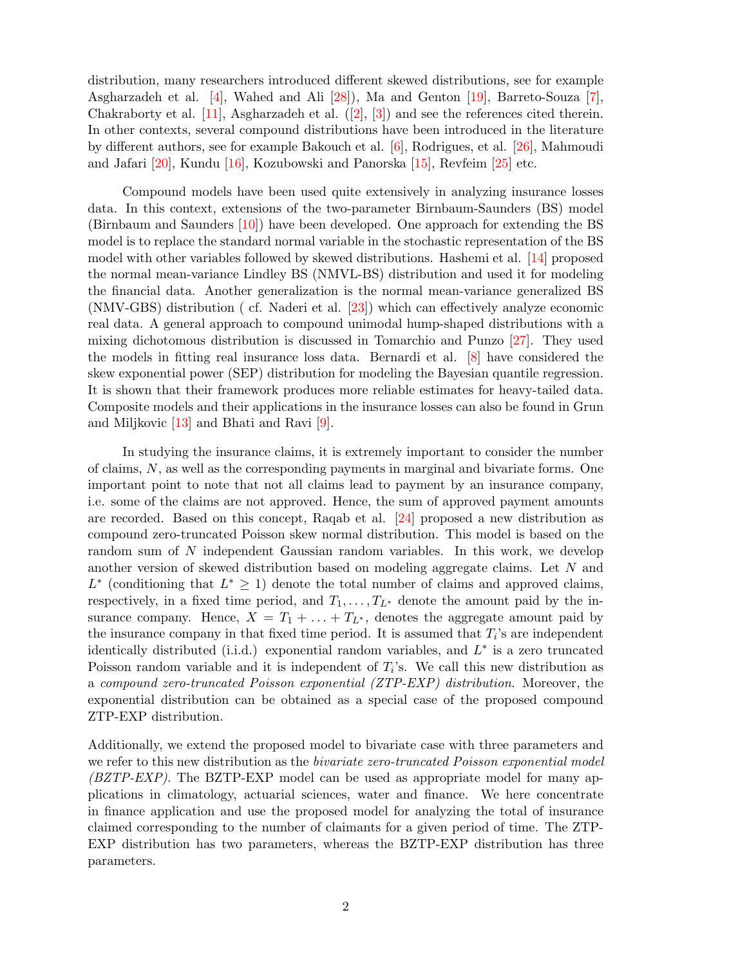distribution, many researchers introduced different skewed distributions, see for example Asgharzadeh et al. [\[4\]](#page-30-1), Wahed and Ali [\[28\]](#page-31-0)), Ma and Genton [\[19\]](#page-31-1), Barreto-Souza [\[7\]](#page-30-2), Chakraborty et al. [\[11\]](#page-30-3), Asgharzadeh et al.([\[2\]](#page-30-4), [\[3\]](#page-30-5)) and see the references cited therein. In other contexts, several compound distributions have been introduced in the literature by different authors, see for example Bakouch et al. [\[6\]](#page-30-6), Rodrigues, et al. [\[26\]](#page-31-2), Mahmoudi and Jafari [\[20\]](#page-31-3), Kundu [\[16\]](#page-30-7), Kozubowski and Panorska [\[15\]](#page-30-8), Revfeim [\[25\]](#page-31-4) etc.

Compound models have been used quite extensively in analyzing insurance losses data. In this context, extensions of the two-parameter Birnbaum-Saunders (BS) model (Birnbaum and Saunders [\[10\]](#page-30-9)) have been developed. One approach for extending the BS model is to replace the standard normal variable in the stochastic representation of the BS model with other variables followed by skewed distributions. Hashemi et al. [\[14\]](#page-30-10) proposed the normal mean-variance Lindley BS (NMVL-BS) distribution and used it for modeling the financial data. Another generalization is the normal mean-variance generalized BS (NMV-GBS) distribution ( cf. Naderi et al. [\[23\]](#page-31-5)) which can effectively analyze economic real data. A general approach to compound unimodal hump-shaped distributions with a mixing dichotomous distribution is discussed in Tomarchio and Punzo [\[27\]](#page-31-6). They used the models in fitting real insurance loss data. Bernardi et al. [\[8\]](#page-30-11) have considered the skew exponential power (SEP) distribution for modeling the Bayesian quantile regression. It is shown that their framework produces more reliable estimates for heavy-tailed data. Composite models and their applications in the insurance losses can also be found in Grun and Miljkovic [\[13\]](#page-30-12) and Bhati and Ravi [\[9\]](#page-30-13).

In studying the insurance claims, it is extremely important to consider the number of claims,  $N$ , as well as the corresponding payments in marginal and bivariate forms. One important point to note that not all claims lead to payment by an insurance company, i.e. some of the claims are not approved. Hence, the sum of approved payment amounts are recorded. Based on this concept, Raqab et al. [\[24\]](#page-31-7) proposed a new distribution as compound zero-truncated Poisson skew normal distribution. This model is based on the random sum of N independent Gaussian random variables. In this work, we develop another version of skewed distribution based on modeling aggregate claims. Let N and  $L^*$  (conditioning that  $L^* \geq 1$ ) denote the total number of claims and approved claims, respectively, in a fixed time period, and  $T_1, \ldots, T_{L^*}$  denote the amount paid by the insurance company. Hence,  $X = T_1 + \ldots + T_{L^*}$ , denotes the aggregate amount paid by the insurance company in that fixed time period. It is assumed that  $T_i$ 's are independent identically distributed (i.i.d.) exponential random variables, and  $L^*$  is a zero truncated Poisson random variable and it is independent of  $T_i$ 's. We call this new distribution as a compound zero-truncated Poisson exponential (ZTP-EXP) distribution. Moreover, the exponential distribution can be obtained as a special case of the proposed compound ZTP-EXP distribution.

Additionally, we extend the proposed model to bivariate case with three parameters and we refer to this new distribution as the *bivariate zero-truncated Poisson exponential model* (BZTP-EXP). The BZTP-EXP model can be used as appropriate model for many applications in climatology, actuarial sciences, water and finance. We here concentrate in finance application and use the proposed model for analyzing the total of insurance claimed corresponding to the number of claimants for a given period of time. The ZTP-EXP distribution has two parameters, whereas the BZTP-EXP distribution has three parameters.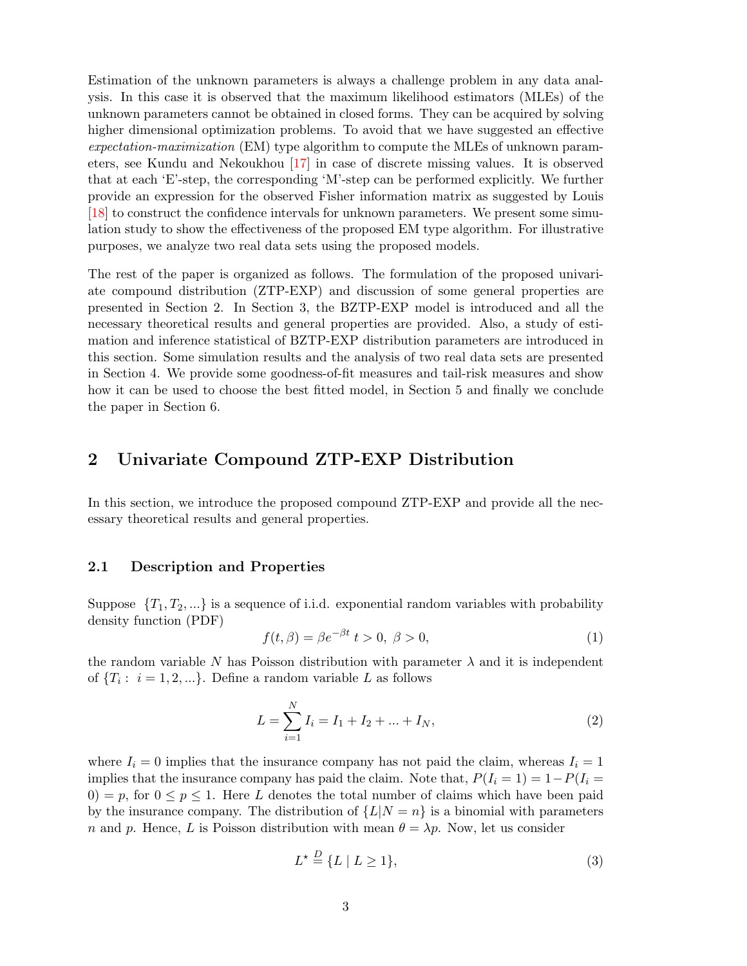Estimation of the unknown parameters is always a challenge problem in any data analysis. In this case it is observed that the maximum likelihood estimators (MLEs) of the unknown parameters cannot be obtained in closed forms. They can be acquired by solving higher dimensional optimization problems. To avoid that we have suggested an effective expectation-maximization (EM) type algorithm to compute the MLEs of unknown parameters, see Kundu and Nekoukhou [\[17\]](#page-31-8) in case of discrete missing values. It is observed that at each 'E'-step, the corresponding 'M'-step can be performed explicitly. We further provide an expression for the observed Fisher information matrix as suggested by Louis [\[18\]](#page-31-9) to construct the confidence intervals for unknown parameters. We present some simulation study to show the effectiveness of the proposed EM type algorithm. For illustrative purposes, we analyze two real data sets using the proposed models.

The rest of the paper is organized as follows. The formulation of the proposed univariate compound distribution (ZTP-EXP) and discussion of some general properties are presented in Section 2. In Section 3, the BZTP-EXP model is introduced and all the necessary theoretical results and general properties are provided. Also, a study of estimation and inference statistical of BZTP-EXP distribution parameters are introduced in this section. Some simulation results and the analysis of two real data sets are presented in Section 4. We provide some goodness-of-fit measures and tail-risk measures and show how it can be used to choose the best fitted model, in Section 5 and finally we conclude the paper in Section 6.

### 2 Univariate Compound ZTP-EXP Distribution

In this section, we introduce the proposed compound ZTP-EXP and provide all the necessary theoretical results and general properties.

### 2.1 Description and Properties

Suppose  $\{T_1, T_2, ...\}$  is a sequence of i.i.d. exponential random variables with probability density function (PDF)

$$
f(t,\beta) = \beta e^{-\beta t} \ t > 0, \ \beta > 0,\tag{1}
$$

the random variable N has Poisson distribution with parameter  $\lambda$  and it is independent of  $\{T_i: i = 1, 2, ...\}$ . Define a random variable L as follows

$$
L = \sum_{i=1}^{N} I_i = I_1 + I_2 + \dots + I_N,
$$
\n(2)

where  $I_i = 0$  implies that the insurance company has not paid the claim, whereas  $I_i = 1$ implies that the insurance company has paid the claim. Note that,  $P(I_i = 1) = 1 - P(I_i = 1)$  $0=p$ , for  $0 \leq p \leq 1$ . Here L denotes the total number of claims which have been paid by the insurance company. The distribution of  ${L|N = n}$  is a binomial with parameters n and p. Hence, L is Poisson distribution with mean  $\theta = \lambda p$ . Now, let us consider

$$
L^* \stackrel{D}{=} \{L \mid L \ge 1\},\tag{3}
$$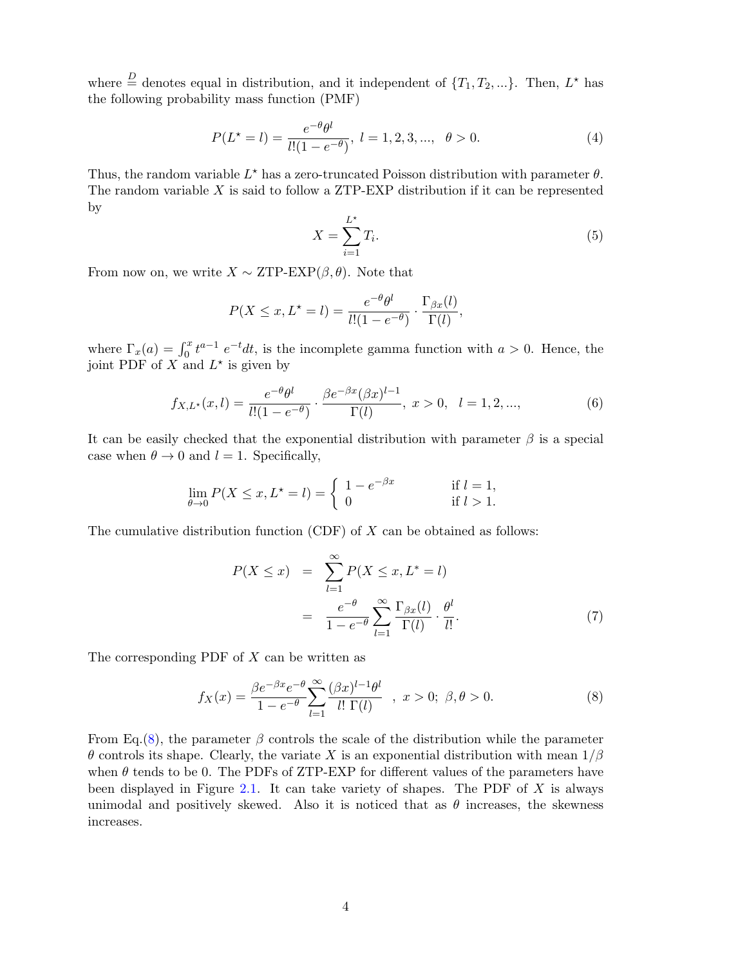where  $\stackrel{D}{=}$  denotes equal in distribution, and it independent of  $\{T_1, T_2, ...\}$ . Then,  $L^*$  has the following probability mass function (PMF)

$$
P(L^* = l) = \frac{e^{-\theta} \theta^l}{l!(1 - e^{-\theta})}, \ l = 1, 2, 3, ..., \ \theta > 0.
$$
 (4)

Thus, the random variable  $L^*$  has a zero-truncated Poisson distribution with parameter  $\theta$ . The random variable  $X$  is said to follow a ZTP-EXP distribution if it can be represented by

$$
X = \sum_{i=1}^{L^*} T_i.
$$
\n
$$
(5)
$$

From now on, we write  $X \sim \text{ZTP-EXP}(\beta, \theta)$ . Note that

$$
P(X \le x, L^* = l) = \frac{e^{-\theta} \theta^l}{l!(1 - e^{-\theta})} \cdot \frac{\Gamma_{\beta x}(l)}{\Gamma(l)},
$$

where  $\Gamma_x(a) = \int_0^x t^{a-1} e^{-t} dt$ , is the incomplete gamma function with  $a > 0$ . Hence, the joint PDF of X and  $L^*$  is given by

<span id="page-3-1"></span>
$$
f_{X,L^*}(x,l) = \frac{e^{-\theta} \theta^l}{l!(1 - e^{-\theta})} \cdot \frac{\beta e^{-\beta x} (\beta x)^{l-1}}{\Gamma(l)}, \ x > 0, \ l = 1, 2, \dots,
$$
 (6)

It can be easily checked that the exponential distribution with parameter  $\beta$  is a special case when  $\theta \to 0$  and  $l = 1$ . Specifically,

$$
\lim_{\theta \to 0} P(X \le x, L^* = l) = \begin{cases} 1 - e^{-\beta x} & \text{if } l = 1, \\ 0 & \text{if } l > 1. \end{cases}
$$

The cumulative distribution function  $(CDF)$  of X can be obtained as follows:

$$
P(X \le x) = \sum_{l=1}^{\infty} P(X \le x, L^* = l)
$$
  
= 
$$
\frac{e^{-\theta}}{1 - e^{-\theta}} \sum_{l=1}^{\infty} \frac{\Gamma_{\beta x}(l)}{\Gamma(l)} \cdot \frac{\theta^l}{l!}.
$$
 (7)

The corresponding PDF of  $X$  can be written as

<span id="page-3-0"></span>
$$
f_X(x) = \frac{\beta e^{-\beta x} e^{-\theta}}{1 - e^{-\theta}} \sum_{l=1}^{\infty} \frac{(\beta x)^{l-1} \theta^l}{l! \Gamma(l)} \quad , \ x > 0; \ \beta, \theta > 0. \tag{8}
$$

From Eq.[\(8\)](#page-3-0), the parameter  $\beta$  controls the scale of the distribution while the parameter  $\theta$  controls its shape. Clearly, the variate X is an exponential distribution with mean  $1/\beta$ when  $\theta$  tends to be 0. The PDFs of ZTP-EXP for different values of the parameters have been displayed in Figure [2.1.](#page-4-0) It can take variety of shapes. The PDF of  $X$  is always unimodal and positively skewed. Also it is noticed that as  $\theta$  increases, the skewness increases.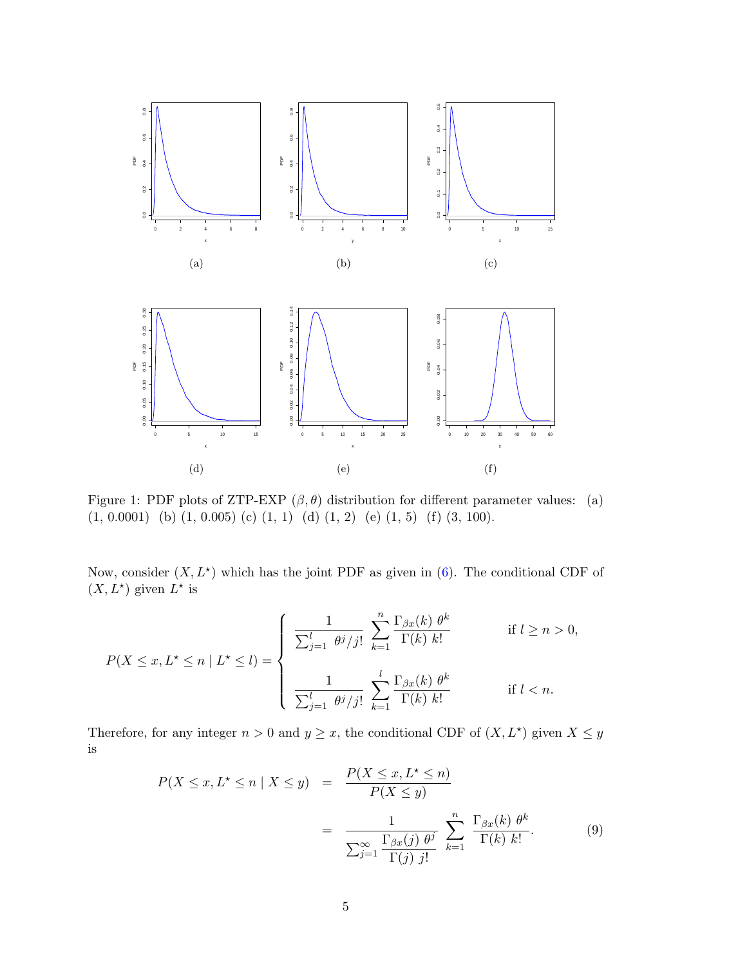

<span id="page-4-0"></span>Figure 1: PDF plots of ZTP-EXP  $(\beta, \theta)$  distribution for different parameter values: (a)  $(1, 0.0001)$  (b)  $(1, 0.005)$  (c)  $(1, 1)$  (d)  $(1, 2)$  (e)  $(1, 5)$  (f)  $(3, 100)$ .

Now, consider  $(X, L^*)$  which has the joint PDF as given in [\(6\)](#page-3-1). The conditional CDF of  $(X, L^*)$  given  $L^*$  is

$$
P(X \le x, L^* \le n \mid L^* \le l) = \begin{cases} \frac{1}{\sum_{j=1}^l \theta^j/j!} \sum_{k=1}^n \frac{\Gamma_{\beta x}(k) \theta^k}{\Gamma(k) k!} & \text{if } l \ge n > 0, \\ \frac{1}{\sum_{j=1}^l \theta^j/j!} \sum_{k=1}^l \frac{\Gamma_{\beta x}(k) \theta^k}{\Gamma(k) k!} & \text{if } l < n. \end{cases}
$$

Therefore, for any integer  $n > 0$  and  $y \geq x$ , the conditional CDF of  $(X, L^*)$  given  $X \leq y$ is

<span id="page-4-1"></span>
$$
P(X \le x, L^* \le n \mid X \le y) = \frac{P(X \le x, L^* \le n)}{P(X \le y)}
$$
  
= 
$$
\frac{1}{\sum_{j=1}^{\infty} \frac{\Gamma_{\beta x}(j) \theta^j}{\Gamma(j) j!}} \sum_{k=1}^n \frac{\Gamma_{\beta x}(k) \theta^k}{\Gamma(k) k!}.
$$
 (9)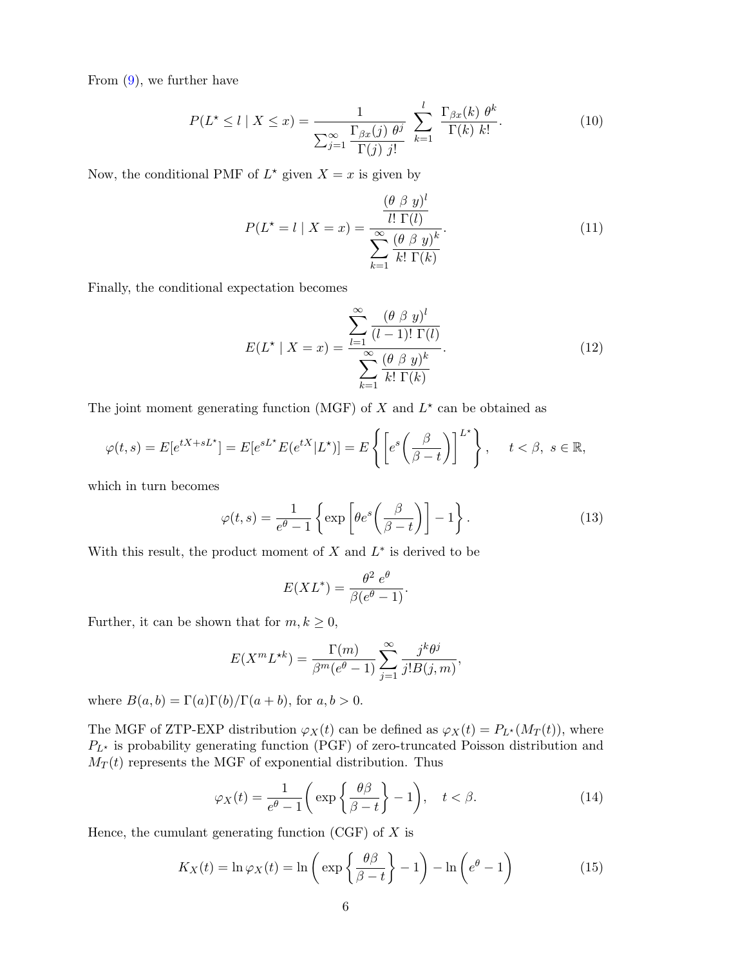From [\(9\)](#page-4-1), we further have

$$
P(L^* \le l \mid X \le x) = \frac{1}{\sum_{j=1}^{\infty} \frac{\Gamma_{\beta x}(j) \theta^j}{\Gamma(j) \ j!}} \sum_{k=1}^{l} \frac{\Gamma_{\beta x}(k) \theta^k}{\Gamma(k) \ k!}.
$$
 (10)

Now, the conditional PMF of  $L^*$  given  $X = x$  is given by

<span id="page-5-0"></span>
$$
P(L^* = l \mid X = x) = \frac{\frac{(\theta \beta y)^l}{l! \Gamma(l)}}{\sum_{k=1}^{\infty} \frac{(\theta \beta y)^k}{k! \Gamma(k)}}.
$$
\n(11)

Finally, the conditional expectation becomes

$$
E(L^* \mid X = x) = \frac{\sum_{l=1}^{\infty} \frac{(\theta \beta y)^l}{(l-1)! \Gamma(l)}}{\sum_{k=1}^{\infty} \frac{(\theta \beta y)^k}{k! \Gamma(k)}}.
$$
(12)

The joint moment generating function (MGF) of X and  $L^*$  can be obtained as

$$
\varphi(t,s) = E[e^{tX + sL^*}] = E[e^{sL^*}E(e^{tX}|L^*)] = E\left\{ \left[e^s\left(\frac{\beta}{\beta - t}\right)\right]^{L^*} \right\}, \quad t < \beta, \ s \in \mathbb{R},
$$

which in turn becomes

$$
\varphi(t,s) = \frac{1}{e^{\theta} - 1} \left\{ \exp \left[ \theta e^s \left( \frac{\beta}{\beta - t} \right) \right] - 1 \right\}.
$$
 (13)

With this result, the product moment of  $X$  and  $L^*$  is derived to be

$$
E(XL^*) = \frac{\theta^2 e^{\theta}}{\beta(e^{\theta} - 1)}.
$$

Further, it can be shown that for  $m, k \geq 0$ ,

$$
E(X^m L^{\star k}) = \frac{\Gamma(m)}{\beta^m (e^{\theta} - 1)} \sum_{j=1}^{\infty} \frac{j^k \theta^j}{j! B(j, m)},
$$

where  $B(a, b) = \Gamma(a)\Gamma(b)/\Gamma(a + b)$ , for  $a, b > 0$ .

The MGF of ZTP-EXP distribution  $\varphi_X(t)$  can be defined as  $\varphi_X(t) = P_{L^*}(M_T(t))$ , where  $P_{L^{\star}}$  is probability generating function (PGF) of zero-truncated Poisson distribution and  $M_T(t)$  represents the MGF of exponential distribution. Thus

$$
\varphi_X(t) = \frac{1}{e^{\theta} - 1} \left( \exp\left\{ \frac{\theta \beta}{\beta - t} \right\} - 1 \right), \quad t < \beta. \tag{14}
$$

Hence, the cumulant generating function  $(CGF)$  of X is

$$
K_X(t) = \ln \varphi_X(t) = \ln \left( \exp \left\{ \frac{\theta \beta}{\beta - t} \right\} - 1 \right) - \ln \left( e^{\theta} - 1 \right)
$$
 (15)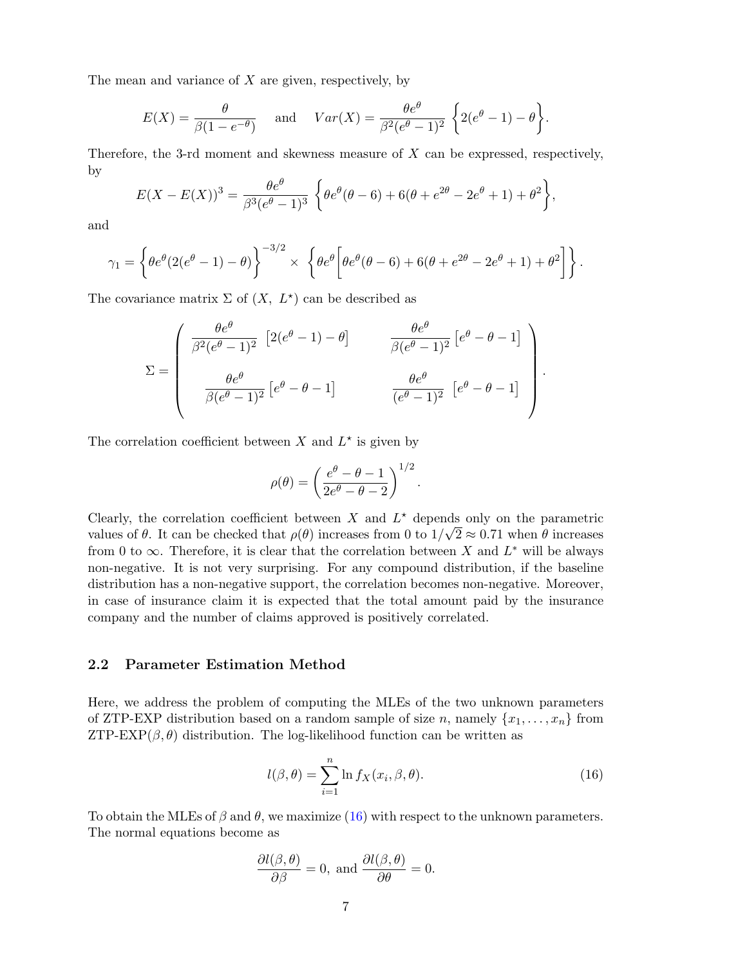The mean and variance of  $X$  are given, respectively, by

$$
E(X) = \frac{\theta}{\beta(1 - e^{-\theta})} \quad \text{and} \quad Var(X) = \frac{\theta e^{\theta}}{\beta^2(e^{\theta} - 1)^2} \left\{ 2(e^{\theta} - 1) - \theta \right\}.
$$

Therefore, the 3-rd moment and skewness measure of X can be expressed, respectively, by

$$
E(X - E(X))^3 = \frac{\theta e^{\theta}}{\beta^3 (e^{\theta} - 1)^3} \left\{ \theta e^{\theta} (\theta - 6) + 6(\theta + e^{2\theta} - 2e^{\theta} + 1) + \theta^2 \right\},\,
$$

and

$$
\gamma_1 = \left\{ \theta e^{\theta} (2(e^{\theta} - 1) - \theta) \right\}^{-3/2} \times \left\{ \theta e^{\theta} \left[ \theta e^{\theta} (\theta - 6) + 6(\theta + e^{2\theta} - 2e^{\theta} + 1) + \theta^2 \right] \right\}.
$$

The covariance matrix  $\Sigma$  of  $(X, L^*)$  can be described as

$$
\Sigma = \begin{pmatrix} \frac{\theta e^{\theta}}{\beta^2 (e^{\theta} - 1)^2} \left[ 2(e^{\theta} - 1) - \theta \right] & \frac{\theta e^{\theta}}{\beta (e^{\theta} - 1)^2} \left[ e^{\theta} - \theta - 1 \right] \\ \frac{\theta e^{\theta}}{\beta (e^{\theta} - 1)^2} \left[ e^{\theta} - \theta - 1 \right] & \frac{\theta e^{\theta}}{(e^{\theta} - 1)^2} \left[ e^{\theta} - \theta - 1 \right] \end{pmatrix}.
$$

The correlation coefficient between X and  $L^*$  is given by

$$
\rho(\theta) = \left(\frac{e^{\theta} - \theta - 1}{2e^{\theta} - \theta - 2}\right)^{1/2}.
$$

Clearly, the correlation coefficient between X and  $L^*$  depends only on the parametric values of  $\theta$ . It can be checked that  $\rho(\theta)$  increases from 0 to  $1/\sqrt{2} \approx 0.71$  when  $\theta$  increases from 0 to  $\infty$ . Therefore, it is clear that the correlation between X and  $L^*$  will be always non-negative. It is not very surprising. For any compound distribution, if the baseline distribution has a non-negative support, the correlation becomes non-negative. Moreover, in case of insurance claim it is expected that the total amount paid by the insurance company and the number of claims approved is positively correlated.

### 2.2 Parameter Estimation Method

Here, we address the problem of computing the MLEs of the two unknown parameters of ZTP-EXP distribution based on a random sample of size n, namely  $\{x_1, \ldots, x_n\}$  from ZTP-EXP( $\beta$ , $\theta$ ) distribution. The log-likelihood function can be written as

<span id="page-6-0"></span>
$$
l(\beta, \theta) = \sum_{i=1}^{n} \ln f_X(x_i, \beta, \theta).
$$
 (16)

To obtain the MLEs of  $\beta$  and  $\theta$ , we maximize [\(16\)](#page-6-0) with respect to the unknown parameters. The normal equations become as

$$
\frac{\partial l(\beta,\theta)}{\partial \beta} = 0, \text{ and } \frac{\partial l(\beta,\theta)}{\partial \theta} = 0.
$$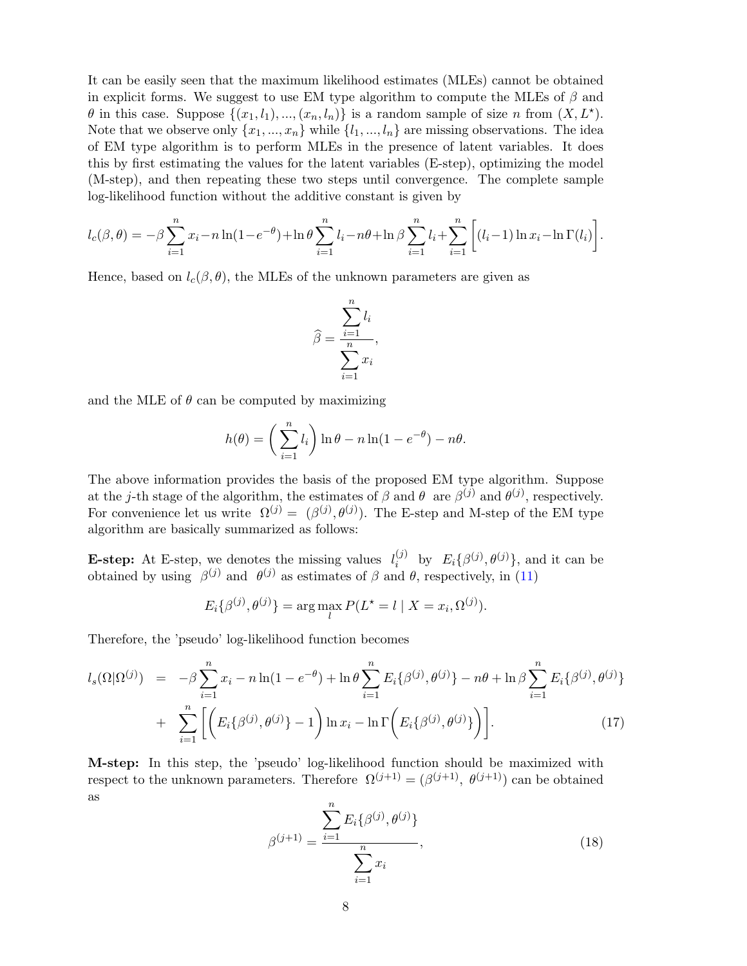It can be easily seen that the maximum likelihood estimates (MLEs) cannot be obtained in explicit forms. We suggest to use EM type algorithm to compute the MLEs of  $\beta$  and  $\theta$  in this case. Suppose  $\{(x_1, l_1), ..., (x_n, l_n)\}\$ is a random sample of size n from  $(X, L^*)$ . Note that we observe only  $\{x_1, ..., x_n\}$  while  $\{l_1, ..., l_n\}$  are missing observations. The idea of EM type algorithm is to perform MLEs in the presence of latent variables. It does this by first estimating the values for the latent variables (E-step), optimizing the model (M-step), and then repeating these two steps until convergence. The complete sample log-likelihood function without the additive constant is given by

$$
l_c(\beta, \theta) = -\beta \sum_{i=1}^n x_i - n \ln(1 - e^{-\theta}) + \ln \theta \sum_{i=1}^n l_i - n\theta + \ln \beta \sum_{i=1}^n l_i + \sum_{i=1}^n \left[ (l_i - 1) \ln x_i - \ln \Gamma(l_i) \right].
$$

Hence, based on  $l_c(\beta, \theta)$ , the MLEs of the unknown parameters are given as

$$
\widehat{\beta} = \frac{\sum_{i=1}^{n} l_i}{\sum_{i=1}^{n} x_i},
$$

and the MLE of  $\theta$  can be computed by maximizing

$$
h(\theta) = \left(\sum_{i=1}^n l_i\right) \ln \theta - n \ln(1 - e^{-\theta}) - n\theta.
$$

The above information provides the basis of the proposed EM type algorithm. Suppose at the j-th stage of the algorithm, the estimates of  $\beta$  and  $\theta$  are  $\beta^{(j)}$  and  $\theta^{(j)}$ , respectively. For convenience let us write  $\Omega^{(j)} = (\beta^{(j)}, \theta^{(j)})$ . The E-step and M-step of the EM type algorithm are basically summarized as follows:

**E-step:** At E-step, we denotes the missing values  $l_i^{(j)}$  $\iota_i^{(j)}$  by  $E_i\{\beta^{(j)}, \theta^{(j)}\}$ , and it can be obtained by using  $\beta^{(j)}$  and  $\theta^{(j)}$  as estimates of  $\beta$  and  $\theta$ , respectively, in [\(11\)](#page-5-0)

$$
E_i\{\beta^{(j)}, \theta^{(j)}\} = \arg\max_l P(L^* = l \mid X = x_i, \Omega^{(j)}).
$$

Therefore, the 'pseudo' log-likelihood function becomes

<span id="page-7-0"></span>
$$
l_s(\Omega|\Omega^{(j)}) = -\beta \sum_{i=1}^n x_i - n \ln(1 - e^{-\theta}) + \ln \theta \sum_{i=1}^n E_i \{\beta^{(j)}, \theta^{(j)}\} - n\theta + \ln \beta \sum_{i=1}^n E_i \{\beta^{(j)}, \theta^{(j)}\} + \sum_{i=1}^n \left[ \left( E_i \{\beta^{(j)}, \theta^{(j)}\} - 1 \right) \ln x_i - \ln \Gamma \left( E_i \{\beta^{(j)}, \theta^{(j)}\} \right) \right].
$$
 (17)

M-step: In this step, the 'pseudo' log-likelihood function should be maximized with respect to the unknown parameters. Therefore  $\Omega^{(j+1)} = (\beta^{(j+1)}, \theta^{(j+1)})$  can be obtained as

$$
\beta^{(j+1)} = \frac{\sum_{i=1}^{n} E_i \{ \beta^{(j)}, \theta^{(j)} \}}{\sum_{i=1}^{n} x_i},
$$
\n(18)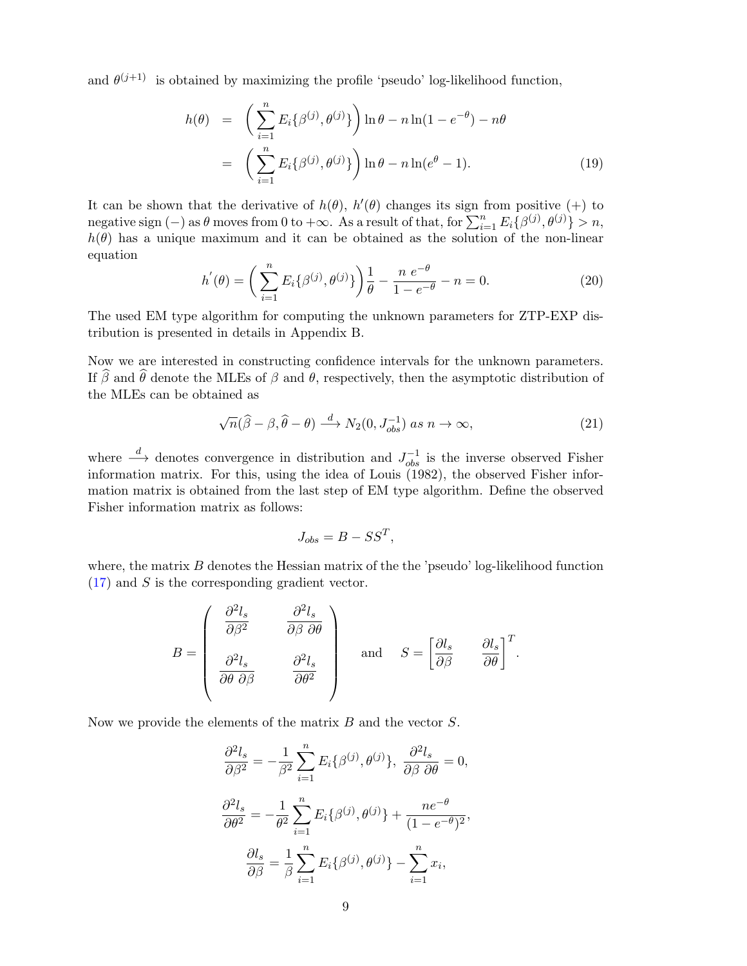and  $\theta^{(j+1)}$  is obtained by maximizing the profile 'pseudo' log-likelihood function,

$$
h(\theta) = \left(\sum_{i=1}^{n} E_i \{\beta^{(j)}, \theta^{(j)}\}\right) \ln \theta - n \ln(1 - e^{-\theta}) - n\theta
$$
  
= 
$$
\left(\sum_{i=1}^{n} E_i \{\beta^{(j)}, \theta^{(j)}\}\right) \ln \theta - n \ln(e^{\theta} - 1).
$$
 (19)

It can be shown that the derivative of  $h(\theta)$ ,  $h'(\theta)$  changes its sign from positive (+) to negative sign (-) as  $\theta$  moves from 0 to + $\infty$ . As a result of that, for  $\sum_{i=1}^{n} E_i \{\beta^{(j)}, \theta^{(j)}\} > n$ ,  $h(\theta)$  has a unique maximum and it can be obtained as the solution of the non-linear equation

$$
h'(\theta) = \left(\sum_{i=1}^{n} E_i\{\beta^{(j)}, \theta^{(j)}\}\right) \frac{1}{\theta} - \frac{n e^{-\theta}}{1 - e^{-\theta}} - n = 0.
$$
 (20)

The used EM type algorithm for computing the unknown parameters for ZTP-EXP distribution is presented in details in Appendix B.

Now we are interested in constructing confidence intervals for the unknown parameters. If  $\widehat{\beta}$  and  $\widehat{\theta}$  denote the MLEs of  $\beta$  and  $\theta$ , respectively, then the asymptotic distribution of the MLEs can be obtained as

$$
\sqrt{n}(\widehat{\beta} - \beta, \widehat{\theta} - \theta) \stackrel{d}{\longrightarrow} N_2(0, J_{obs}^{-1}) \text{ as } n \to \infty,
$$
\n(21)

where  $\stackrel{d}{\longrightarrow}$  denotes convergence in distribution and  $J_{obs}^{-1}$  is the inverse observed Fisher information matrix. For this, using the idea of Louis (1982), the observed Fisher information matrix is obtained from the last step of EM type algorithm. Define the observed Fisher information matrix as follows:

$$
J_{obs} = B - SS^T,
$$

where, the matrix  $B$  denotes the Hessian matrix of the the 'pseudo' log-likelihood function  $(17)$  and S is the corresponding gradient vector.

$$
B = \begin{pmatrix} \frac{\partial^2 l_s}{\partial \beta^2} & \frac{\partial^2 l_s}{\partial \beta \partial \theta} \\ \frac{\partial^2 l_s}{\partial \theta \partial \beta} & \frac{\partial^2 l_s}{\partial \theta^2} \end{pmatrix} \quad \text{and} \quad S = \begin{bmatrix} \frac{\partial l_s}{\partial \beta} & \frac{\partial l_s}{\partial \theta} \end{bmatrix}^T.
$$

Now we provide the elements of the matrix  $B$  and the vector  $S$ .

$$
\frac{\partial^2 l_s}{\partial \beta^2} = -\frac{1}{\beta^2} \sum_{i=1}^n E_i \{\beta^{(j)}, \theta^{(j)}\}, \frac{\partial^2 l_s}{\partial \beta \partial \theta} = 0,
$$
  

$$
\frac{\partial^2 l_s}{\partial \theta^2} = -\frac{1}{\theta^2} \sum_{i=1}^n E_i \{\beta^{(j)}, \theta^{(j)}\} + \frac{ne^{-\theta}}{(1 - e^{-\theta})^2},
$$
  

$$
\frac{\partial l_s}{\partial \beta} = \frac{1}{\beta} \sum_{i=1}^n E_i \{\beta^{(j)}, \theta^{(j)}\} - \sum_{i=1}^n x_i,
$$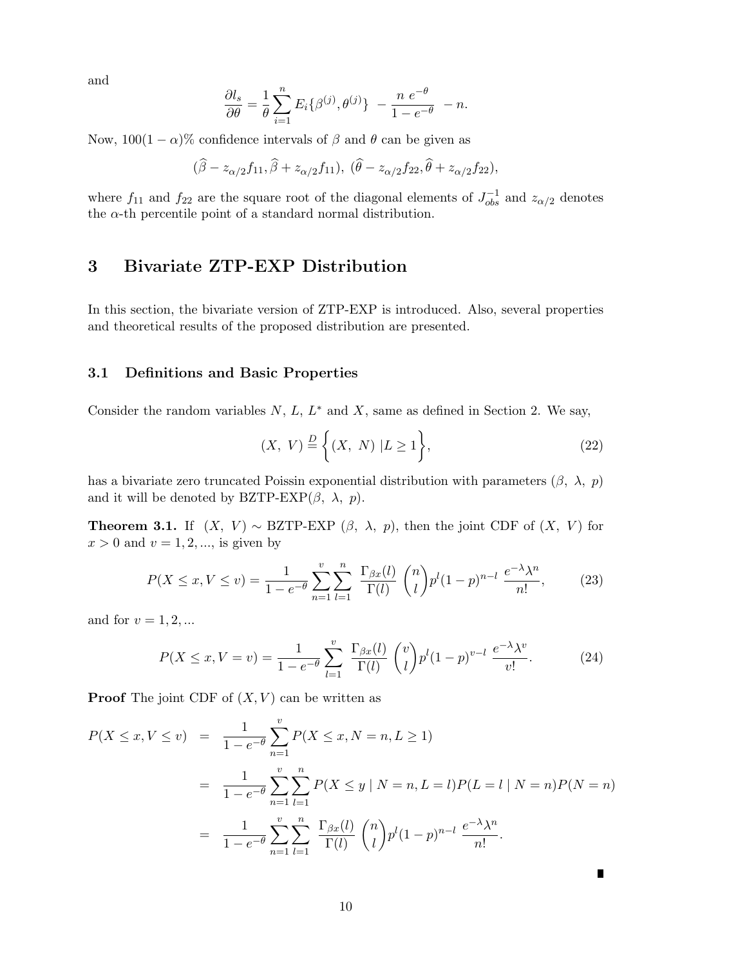and

$$
\frac{\partial l_s}{\partial \theta} = \frac{1}{\theta} \sum_{i=1}^n E_i \{ \beta^{(j)}, \theta^{(j)} \} - \frac{n e^{-\theta}}{1 - e^{-\theta}} - n.
$$

Now,  $100(1 - \alpha)$ % confidence intervals of  $\beta$  and  $\theta$  can be given as

$$
(\widehat{\beta}-z_{\alpha/2}f_{11},\widehat{\beta}+z_{\alpha/2}f_{11}),\;(\widehat{\theta}-z_{\alpha/2}f_{22},\widehat{\theta}+z_{\alpha/2}f_{22}),
$$

where  $f_{11}$  and  $f_{22}$  are the square root of the diagonal elements of  $J_{obs}^{-1}$  and  $z_{\alpha/2}$  denotes the  $\alpha$ -th percentile point of a standard normal distribution.

# 3 Bivariate ZTP-EXP Distribution

In this section, the bivariate version of ZTP-EXP is introduced. Also, several properties and theoretical results of the proposed distribution are presented.

#### 3.1 Definitions and Basic Properties

Consider the random variables  $N, L, L^*$  and  $X$ , same as defined in Section 2. We say,

$$
(X, V) \stackrel{D}{=} \left\{ (X, N) | L \ge 1 \right\},\tag{22}
$$

has a bivariate zero truncated Poissin exponential distribution with parameters  $(\beta, \lambda, p)$ and it will be denoted by BZTP-EXP $(\beta, \lambda, p)$ .

**Theorem 3.1.** If  $(X, V) \sim \text{BZTP-EXP}(\beta, \lambda, p)$ , then the joint CDF of  $(X, V)$  for  $x > 0$  and  $v = 1, 2, \dots$ , is given by

$$
P(X \le x, V \le v) = \frac{1}{1 - e^{-\theta}} \sum_{n=1}^{v} \sum_{l=1}^{n} \frac{\Gamma_{\beta x}(l)}{\Gamma(l)} {n \choose l} p^{l} (1 - p)^{n - l} \frac{e^{-\lambda} \lambda^{n}}{n!},
$$
 (23)

and for  $v = 1, 2, \dots$ 

$$
P(X \le x, V = v) = \frac{1}{1 - e^{-\theta}} \sum_{l=1}^{v} \frac{\Gamma_{\beta x}(l)}{\Gamma(l)} {v \choose l} p^{l} (1 - p)^{v - l} \frac{e^{-\lambda} \lambda^{v}}{v!}.
$$
 (24)

**Proof** The joint CDF of  $(X, V)$  can be written as

$$
P(X \le x, V \le v) = \frac{1}{1 - e^{-\theta}} \sum_{n=1}^{v} P(X \le x, N = n, L \ge 1)
$$
  
= 
$$
\frac{1}{1 - e^{-\theta}} \sum_{n=1}^{v} \sum_{l=1}^{n} P(X \le y \mid N = n, L = l) P(L = l \mid N = n) P(N = n)
$$
  
= 
$$
\frac{1}{1 - e^{-\theta}} \sum_{n=1}^{v} \sum_{l=1}^{n} \frac{\Gamma_{\beta x}(l)}{\Gamma(l)} {n \choose l} p^{l} (1 - p)^{n-l} \frac{e^{-\lambda} \lambda^{n}}{n!}.
$$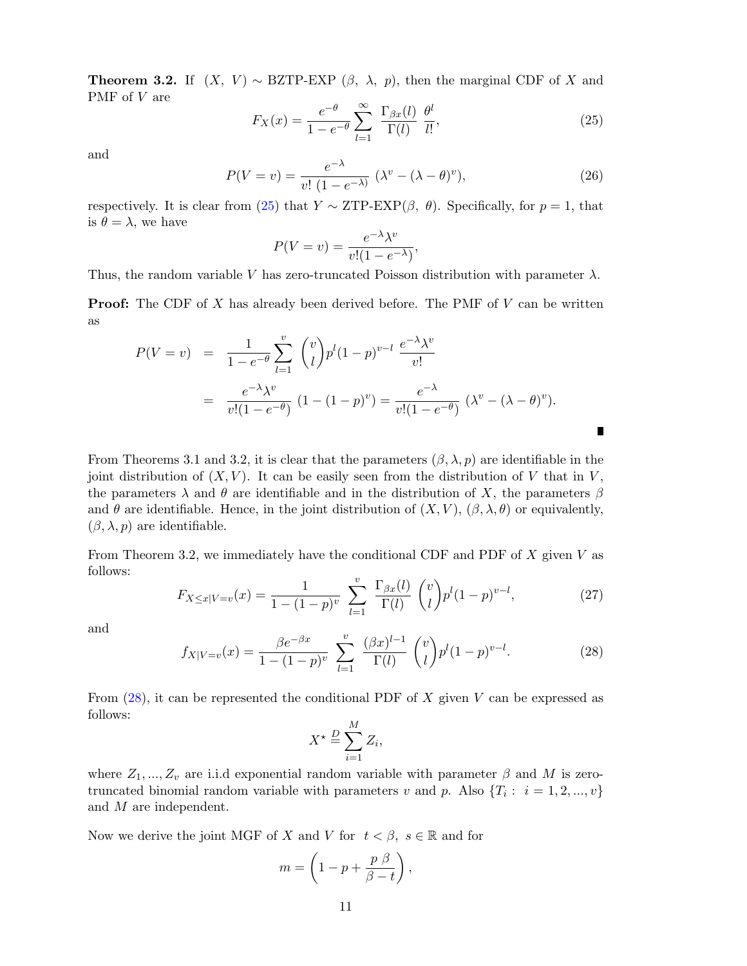**Theorem 3.2.** If  $(X, V) \sim \text{BZTP-EXP}(\beta, \lambda, p)$ , then the marginal CDF of X and PMF of V are

<span id="page-10-0"></span>
$$
F_X(x) = \frac{e^{-\theta}}{1 - e^{-\theta}} \sum_{l=1}^{\infty} \frac{\Gamma_{\beta x}(l)}{\Gamma(l)} \frac{\theta^l}{l!},\tag{25}
$$

and

$$
P(V = v) = \frac{e^{-\lambda}}{v! (1 - e^{-\lambda})} (\lambda^v - (\lambda - \theta)^v),
$$
\n(26)

П

respectively. It is clear from [\(25\)](#page-10-0) that  $Y \sim \text{ZTP-EXP}(\beta, \theta)$ . Specifically, for  $p = 1$ , that is  $\theta = \lambda$ , we have

$$
P(V = v) = \frac{e^{-\lambda} \lambda^v}{v!(1 - e^{-\lambda})},
$$

Thus, the random variable V has zero-truncated Poisson distribution with parameter  $\lambda$ .

**Proof:** The CDF of  $X$  has already been derived before. The PMF of  $V$  can be written as

$$
P(V = v) = \frac{1}{1 - e^{-\theta}} \sum_{l=1}^{v} {v \choose l} p^{l} (1 - p)^{v - l} \frac{e^{-\lambda} \lambda^{v}}{v!}
$$
  
= 
$$
\frac{e^{-\lambda} \lambda^{v}}{v! (1 - e^{-\theta})} (1 - (1 - p)^{v}) = \frac{e^{-\lambda}}{v! (1 - e^{-\theta})} (\lambda^{v} - (\lambda - \theta)^{v}).
$$

From Theorems 3.1 and 3.2, it is clear that the parameters  $(\beta, \lambda, p)$  are identifiable in the joint distribution of  $(X, V)$ . It can be easily seen from the distribution of V that in V, the parameters  $\lambda$  and  $\theta$  are identifiable and in the distribution of X, the parameters  $\beta$ and  $\theta$  are identifiable. Hence, in the joint distribution of  $(X, V)$ ,  $(\beta, \lambda, \theta)$  or equivalently,  $(\beta, \lambda, p)$  are identifiable.

From Theorem 3.2, we immediately have the conditional CDF and PDF of  $X$  given  $V$  as follows:

$$
F_{X \le x|V=v}(x) = \frac{1}{1 - (1 - p)^v} \sum_{l=1}^v \frac{\Gamma_{\beta x}(l)}{\Gamma(l)} {v \choose l} p^l (1 - p)^{v - l}, \tag{27}
$$

and

<span id="page-10-1"></span>
$$
f_{X|V=v}(x) = \frac{\beta e^{-\beta x}}{1 - (1 - p)^v} \sum_{l=1}^v \frac{(\beta x)^{l-1}}{\Gamma(l)} {v \choose l} p^l (1 - p)^{v-l}.
$$
 (28)

From  $(28)$ , it can be represented the conditional PDF of X given V can be expressed as follows:

$$
X^{\star} \stackrel{D}{=} \sum_{i=1}^{M} Z_i,
$$

where  $Z_1, ..., Z_v$  are i.i.d exponential random variable with parameter  $\beta$  and M is zerotruncated binomial random variable with parameters v and p. Also  $\{T_i: i = 1, 2, ..., v\}$ and M are independent.

Now we derive the joint MGF of X and V for  $t < \beta$ ,  $s \in \mathbb{R}$  and for

$$
m = \left(1 - p + \frac{p \beta}{\beta - t}\right),\,
$$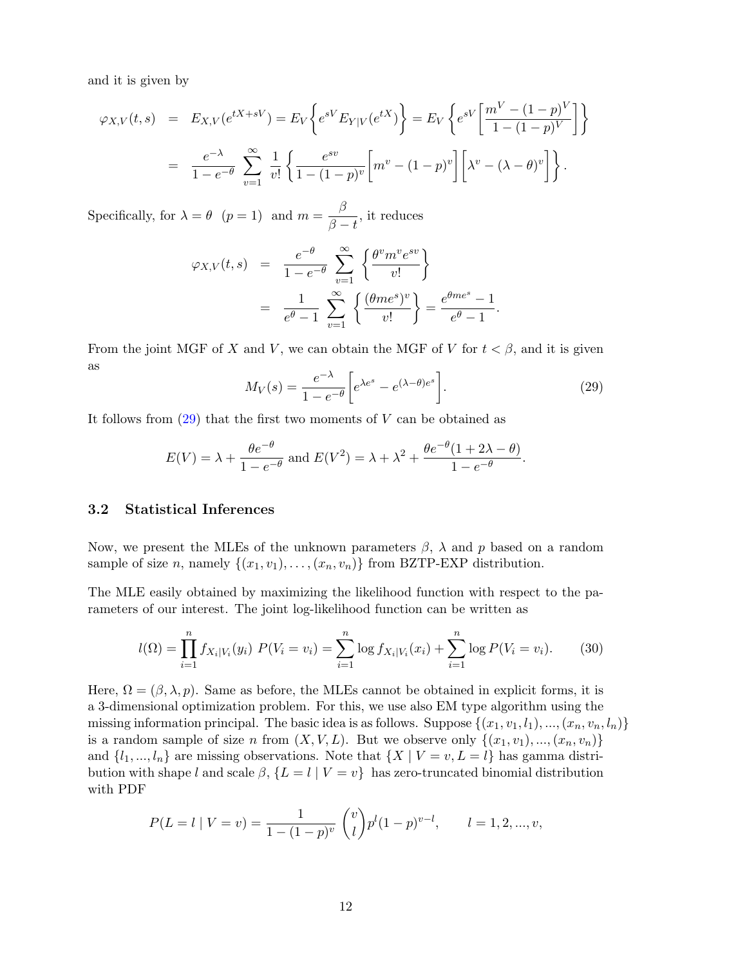and it is given by

$$
\varphi_{X,V}(t,s) = E_{X,V}(e^{tX+sV}) = E_V \left\{ e^{sV} E_{Y|V}(e^{tX}) \right\} = E_V \left\{ e^{sV} \left[ \frac{m^V - (1-p)^V}{1 - (1-p)^V} \right] \right\}
$$
  
= 
$$
\frac{e^{-\lambda}}{1 - e^{-\theta}} \sum_{v=1}^{\infty} \frac{1}{v!} \left\{ \frac{e^{sv}}{1 - (1-p)^v} \left[ m^v - (1-p)^v \right] \left[ \lambda^v - (\lambda - \theta)^v \right] \right\}.
$$

Specifically, for  $\lambda = \theta$   $(p = 1)$  and  $m = \frac{\beta}{\beta}$  $\frac{\beta}{\beta-t}$ , it reduces

$$
\varphi_{X,V}(t,s) = \frac{e^{-\theta}}{1 - e^{-\theta}} \sum_{v=1}^{\infty} \left\{ \frac{\theta^v m^v e^{sv}}{v!} \right\}
$$
  
= 
$$
\frac{1}{e^{\theta} - 1} \sum_{v=1}^{\infty} \left\{ \frac{(\theta m e^s)^v}{v!} \right\} = \frac{e^{\theta m e^s} - 1}{e^{\theta} - 1}.
$$

From the joint MGF of X and V, we can obtain the MGF of V for  $t < \beta$ , and it is given as

<span id="page-11-0"></span>
$$
M_V(s) = \frac{e^{-\lambda}}{1 - e^{-\theta}} \left[ e^{\lambda e^s} - e^{(\lambda - \theta)e^s} \right].
$$
 (29)

It follows from  $(29)$  that the first two moments of V can be obtained as

$$
E(V) = \lambda + \frac{\theta e^{-\theta}}{1 - e^{-\theta}} \text{ and } E(V^2) = \lambda + \lambda^2 + \frac{\theta e^{-\theta} (1 + 2\lambda - \theta)}{1 - e^{-\theta}}.
$$

### 3.2 Statistical Inferences

Now, we present the MLEs of the unknown parameters  $\beta$ ,  $\lambda$  and p based on a random sample of size n, namely  $\{(x_1, v_1), \ldots, (x_n, v_n)\}\$ from BZTP-EXP distribution.

The MLE easily obtained by maximizing the likelihood function with respect to the parameters of our interest. The joint log-likelihood function can be written as

$$
l(\Omega) = \prod_{i=1}^{n} f_{X_i|V_i}(y_i) \ P(V_i = v_i) = \sum_{i=1}^{n} \log f_{X_i|V_i}(x_i) + \sum_{i=1}^{n} \log P(V_i = v_i). \tag{30}
$$

Here,  $\Omega = (\beta, \lambda, p)$ . Same as before, the MLEs cannot be obtained in explicit forms, it is a 3-dimensional optimization problem. For this, we use also EM type algorithm using the missing information principal. The basic idea is as follows. Suppose  $\{(x_1, v_1, l_1), ..., (x_n, v_n, l_n)\}\$ is a random sample of size n from  $(X, V, L)$ . But we observe only  $\{(x_1, v_1), ..., (x_n, v_n)\}$ and  $\{l_1, ..., l_n\}$  are missing observations. Note that  $\{X \mid V = v, L = l\}$  has gamma distribution with shape l and scale  $\beta$ ,  $\{L = l | V = v\}$  has zero-truncated binomial distribution with PDF

$$
P(L = l \mid V = v) = \frac{1}{1 - (1 - p)^{v}} {v \choose l} p^{l} (1 - p)^{v - l}, \qquad l = 1, 2, ..., v,
$$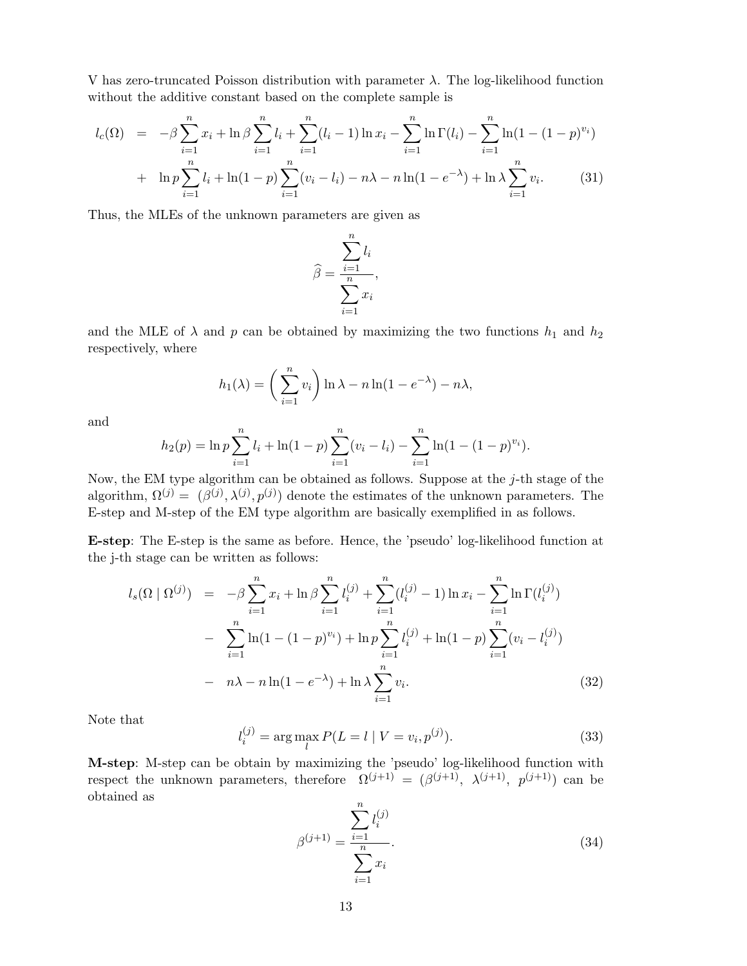V has zero-truncated Poisson distribution with parameter  $\lambda$ . The log-likelihood function without the additive constant based on the complete sample is

$$
l_c(\Omega) = -\beta \sum_{i=1}^n x_i + \ln \beta \sum_{i=1}^n l_i + \sum_{i=1}^n (l_i - 1) \ln x_i - \sum_{i=1}^n \ln \Gamma(l_i) - \sum_{i=1}^n \ln (1 - (1 - p)^{v_i})
$$
  
+ 
$$
\ln p \sum_{i=1}^n l_i + \ln(1 - p) \sum_{i=1}^n (v_i - l_i) - n\lambda - n \ln(1 - e^{-\lambda}) + \ln \lambda \sum_{i=1}^n v_i.
$$
 (31)

Thus, the MLEs of the unknown parameters are given as

$$
\widehat{\beta} = \frac{\sum_{i=1}^{n} l_i}{\sum_{i=1}^{n} x_i},
$$

and the MLE of  $\lambda$  and  $p$  can be obtained by maximizing the two functions  $h_1$  and  $h_2$ respectively, where

$$
h_1(\lambda) = \left(\sum_{i=1}^n v_i\right) \ln \lambda - n \ln(1 - e^{-\lambda}) - n\lambda,
$$

and

$$
h_2(p) = \ln p \sum_{i=1}^n l_i + \ln(1-p) \sum_{i=1}^n (v_i - l_i) - \sum_{i=1}^n \ln(1 - (1-p)^{v_i}).
$$

Now, the EM type algorithm can be obtained as follows. Suppose at the  $j$ -th stage of the algorithm,  $\Omega^{(j)} = (\beta^{(j)}, \lambda^{(j)}, p^{(j)})$  denote the estimates of the unknown parameters. The E-step and M-step of the EM type algorithm are basically exemplified in as follows.

E-step: The E-step is the same as before. Hence, the 'pseudo' log-likelihood function at the j-th stage can be written as follows:

<span id="page-12-0"></span>
$$
l_s(\Omega \mid \Omega^{(j)}) = -\beta \sum_{i=1}^n x_i + \ln \beta \sum_{i=1}^n l_i^{(j)} + \sum_{i=1}^n (l_i^{(j)} - 1) \ln x_i - \sum_{i=1}^n \ln \Gamma(l_i^{(j)})
$$
  

$$
- \sum_{i=1}^n \ln(1 - (1 - p)^{v_i}) + \ln p \sum_{i=1}^n l_i^{(j)} + \ln(1 - p) \sum_{i=1}^n (v_i - l_i^{(j)})
$$
  

$$
- n\lambda - n \ln(1 - e^{-\lambda}) + \ln \lambda \sum_{i=1}^n v_i.
$$
 (32)

Note that

$$
l_i^{(j)} = \arg\max_l P(L = l \mid V = v_i, p^{(j)}).
$$
\n(33)

M-step: M-step can be obtain by maximizing the 'pseudo' log-likelihood function with respect the unknown parameters, therefore  $\Omega^{(j+1)} = (\beta^{(j+1)}, \lambda^{(j+1)}, p^{(j+1)})$  can be obtained as

$$
\beta^{(j+1)} = \frac{\sum_{i=1}^{n} l_i^{(j)}}{\sum_{i=1}^{n} x_i}.
$$
\n(34)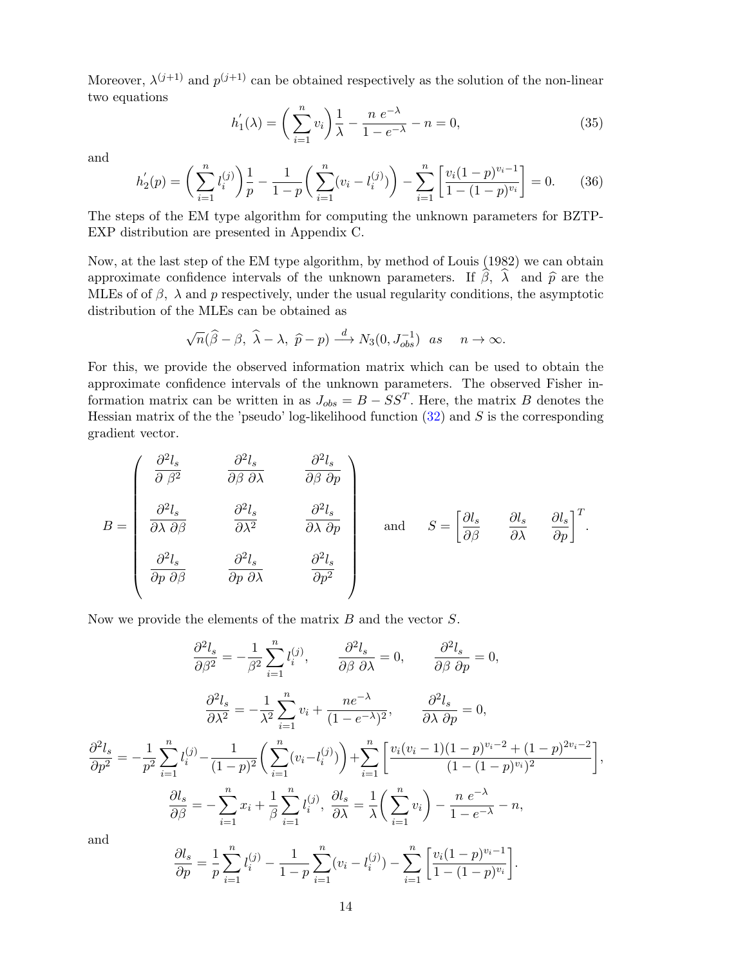Moreover,  $\lambda^{(j+1)}$  and  $p^{(j+1)}$  can be obtained respectively as the solution of the non-linear two equations

$$
h'_{1}(\lambda) = \left(\sum_{i=1}^{n} v_{i}\right) \frac{1}{\lambda} - \frac{n e^{-\lambda}}{1 - e^{-\lambda}} - n = 0, \tag{35}
$$

and

$$
h_2'(p) = \left(\sum_{i=1}^n l_i^{(j)}\right) \frac{1}{p} - \frac{1}{1-p} \left(\sum_{i=1}^n (v_i - l_i^{(j)})\right) - \sum_{i=1}^n \left[\frac{v_i(1-p)^{v_i-1}}{1-(1-p)^{v_i}}\right] = 0. \tag{36}
$$

The steps of the EM type algorithm for computing the unknown parameters for BZTP-EXP distribution are presented in Appendix C.

Now, at the last step of the EM type algorithm, by method of Louis (1982) we can obtain approximate confidence intervals of the unknown parameters. If  $\hat{\beta}$ ,  $\hat{\lambda}$  and  $\hat{p}$  are the MLEs of of  $\beta$ ,  $\lambda$  and p respectively, under the usual regularity conditions, the asymptotic distribution of the MLEs can be obtained as

$$
\sqrt{n}(\widehat{\beta}-\beta, \widehat{\lambda}-\lambda, \widehat{p}-p) \stackrel{d}{\longrightarrow} N_3(0, J_{obs}^{-1}) \text{ as } n \to \infty.
$$

For this, we provide the observed information matrix which can be used to obtain the approximate confidence intervals of the unknown parameters. The observed Fisher information matrix can be written in as  $J_{obs} = B - SS^{T}$ . Here, the matrix B denotes the Hessian matrix of the the 'pseudo' log-likelihood function  $(32)$  and S is the corresponding gradient vector.

$$
B = \begin{pmatrix} \frac{\partial^2 l_s}{\partial \beta^2} & \frac{\partial^2 l_s}{\partial \beta \partial \lambda} & \frac{\partial^2 l_s}{\partial \beta \partial p} \\ \frac{\partial^2 l_s}{\partial \lambda \partial \beta} & \frac{\partial^2 l_s}{\partial \lambda^2} & \frac{\partial^2 l_s}{\partial \lambda \partial p} \\ \frac{\partial^2 l_s}{\partial p \partial \beta} & \frac{\partial^2 l_s}{\partial p \partial \lambda} & \frac{\partial^2 l_s}{\partial p^2} \end{pmatrix} \text{ and } S = \begin{bmatrix} \frac{\partial l_s}{\partial \beta} & \frac{\partial l_s}{\partial \lambda} & \frac{\partial l_s}{\partial p} \end{bmatrix}^T.
$$

Now we provide the elements of the matrix  $B$  and the vector  $S$ .

$$
\frac{\partial^2 l_s}{\partial \beta^2} = -\frac{1}{\beta^2} \sum_{i=1}^n l_i^{(j)}, \qquad \frac{\partial^2 l_s}{\partial \beta \partial \lambda} = 0, \qquad \frac{\partial^2 l_s}{\partial \beta \partial p} = 0,
$$

$$
\frac{\partial^2 l_s}{\partial \lambda^2} = -\frac{1}{\lambda^2} \sum_{i=1}^n v_i + \frac{n e^{-\lambda}}{(1 - e^{-\lambda})^2}, \qquad \frac{\partial^2 l_s}{\partial \lambda \partial p} = 0,
$$

$$
\frac{\partial^2 l_s}{\partial p^2} = -\frac{1}{p^2} \sum_{i=1}^n l_i^{(j)} - \frac{1}{(1 - p)^2} \left( \sum_{i=1}^n (v_i - l_i^{(j)}) \right) + \sum_{i=1}^n \left[ \frac{v_i (v_i - 1)(1 - p)^{v_i - 2} + (1 - p)^{2v_i - 2}}{(1 - (1 - p)^{v_i})^2} \right],
$$

$$
\frac{\partial l_s}{\partial \beta} = -\sum_{i=1}^n x_i + \frac{1}{\beta} \sum_{i=1}^n l_i^{(j)}, \qquad \frac{\partial l_s}{\partial \lambda} = \frac{1}{\lambda} \left( \sum_{i=1}^n v_i \right) - \frac{n e^{-\lambda}}{1 - e^{-\lambda}} - n,
$$

and

$$
\frac{\partial l_s}{\partial p} = \frac{1}{p} \sum_{i=1}^n l_i^{(j)} - \frac{1}{1-p} \sum_{i=1}^n (v_i - l_i^{(j)}) - \sum_{i=1}^n \left[ \frac{v_i (1-p)^{v_i - 1}}{1 - (1-p)^{v_i}} \right].
$$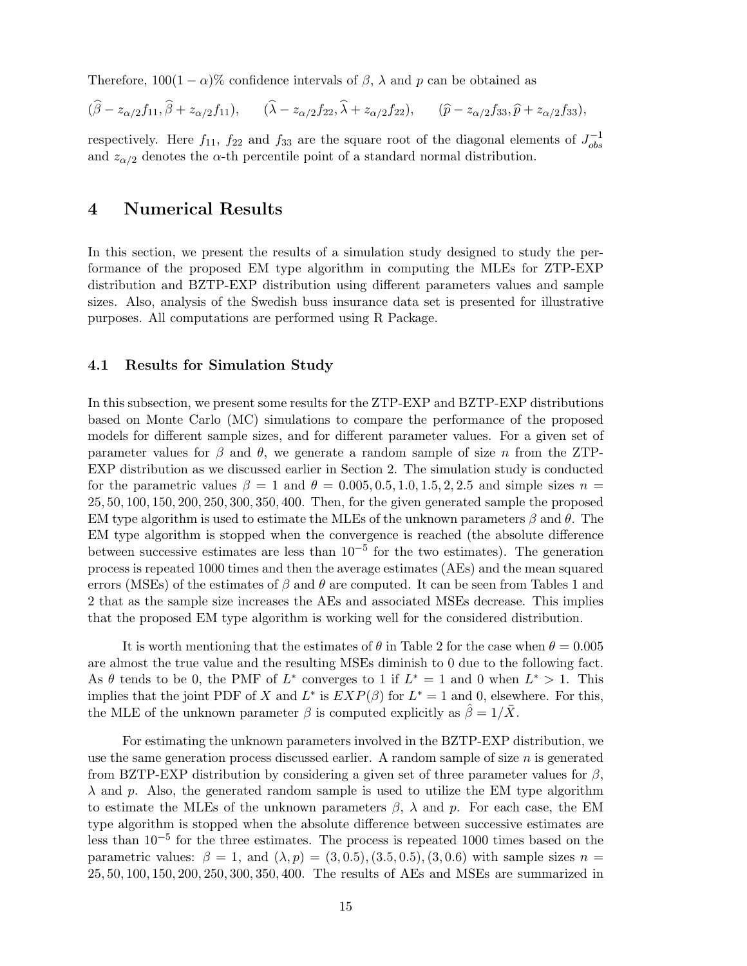Therefore,  $100(1 - \alpha)\%$  confidence intervals of  $\beta$ ,  $\lambda$  and  $p$  can be obtained as

$$
(\widehat{\beta}-z_{\alpha/2}f_{11},\widehat{\beta}+z_{\alpha/2}f_{11}), \qquad (\widehat{\lambda}-z_{\alpha/2}f_{22},\widehat{\lambda}+z_{\alpha/2}f_{22}), \qquad (\widehat{p}-z_{\alpha/2}f_{33},\widehat{p}+z_{\alpha/2}f_{33}),
$$

respectively. Here  $f_{11}$ ,  $f_{22}$  and  $f_{33}$  are the square root of the diagonal elements of  $J_{obs}^{-1}$ obs and  $z_{\alpha/2}$  denotes the  $\alpha$ -th percentile point of a standard normal distribution.

## 4 Numerical Results

In this section, we present the results of a simulation study designed to study the performance of the proposed EM type algorithm in computing the MLEs for ZTP-EXP distribution and BZTP-EXP distribution using different parameters values and sample sizes. Also, analysis of the Swedish buss insurance data set is presented for illustrative purposes. All computations are performed using R Package.

#### 4.1 Results for Simulation Study

In this subsection, we present some results for the ZTP-EXP and BZTP-EXP distributions based on Monte Carlo (MC) simulations to compare the performance of the proposed models for different sample sizes, and for different parameter values. For a given set of parameter values for  $\beta$  and  $\theta$ , we generate a random sample of size n from the ZTP-EXP distribution as we discussed earlier in Section 2. The simulation study is conducted for the parametric values  $\beta = 1$  and  $\theta = 0.005, 0.5, 1.0, 1.5, 2, 2.5$  and simple sizes  $n =$ 25, 50, 100, 150, 200, 250, 300, 350, 400. Then, for the given generated sample the proposed EM type algorithm is used to estimate the MLEs of the unknown parameters  $\beta$  and  $\theta$ . The EM type algorithm is stopped when the convergence is reached (the absolute difference between successive estimates are less than  $10^{-5}$  for the two estimates). The generation process is repeated 1000 times and then the average estimates (AEs) and the mean squared errors (MSEs) of the estimates of  $\beta$  and  $\theta$  are computed. It can be seen from Tables 1 and 2 that as the sample size increases the AEs and associated MSEs decrease. This implies that the proposed EM type algorithm is working well for the considered distribution.

It is worth mentioning that the estimates of  $\theta$  in Table 2 for the case when  $\theta = 0.005$ are almost the true value and the resulting MSEs diminish to 0 due to the following fact. As  $\theta$  tends to be 0, the PMF of  $L^*$  converges to 1 if  $L^* = 1$  and 0 when  $L^* > 1$ . This implies that the joint PDF of X and  $L^*$  is  $EXP(\beta)$  for  $L^* = 1$  and 0, elsewhere. For this, the MLE of the unknown parameter  $\beta$  is computed explicitly as  $\hat{\beta} = 1/\bar{X}$ .

For estimating the unknown parameters involved in the BZTP-EXP distribution, we use the same generation process discussed earlier. A random sample of size n is generated from BZTP-EXP distribution by considering a given set of three parameter values for  $\beta$ ,  $\lambda$  and p. Also, the generated random sample is used to utilize the EM type algorithm to estimate the MLEs of the unknown parameters  $\beta$ ,  $\lambda$  and p. For each case, the EM type algorithm is stopped when the absolute difference between successive estimates are less than 10−<sup>5</sup> for the three estimates. The process is repeated 1000 times based on the parametric values:  $\beta = 1$ , and  $(\lambda, p) = (3, 0.5), (3.5, 0.5), (3, 0.6)$  with sample sizes  $n =$ 25, 50, 100, 150, 200, 250, 300, 350, 400. The results of AEs and MSEs are summarized in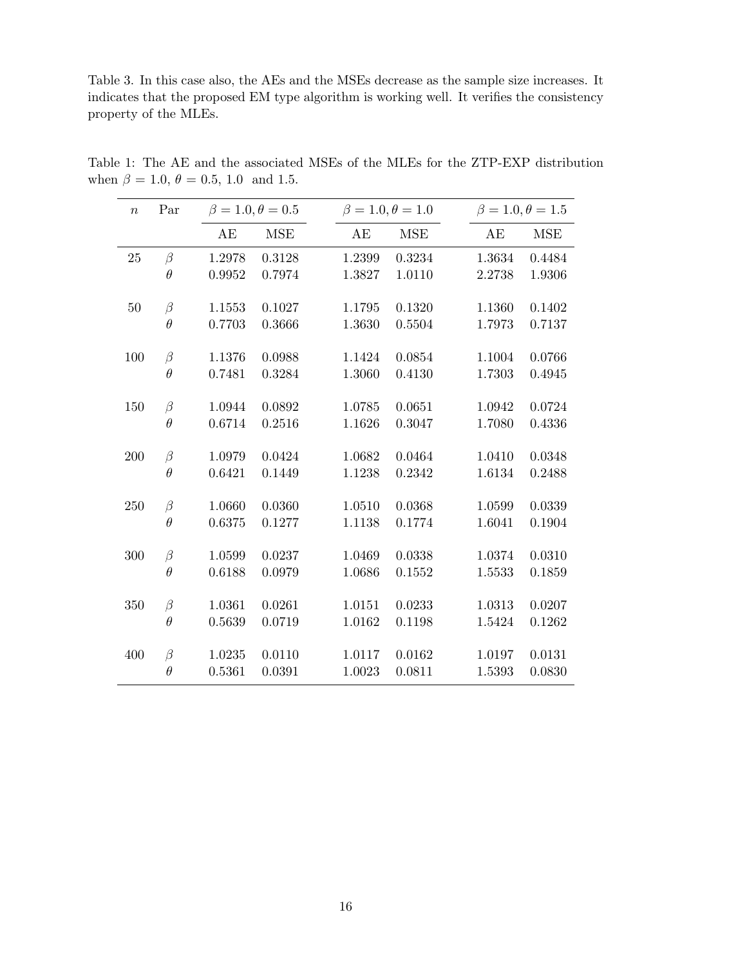Table 3. In this case also, the AEs and the MSEs decrease as the sample size increases. It indicates that the proposed EM type algorithm is working well. It verifies the consistency property of the MLEs.

| $\boldsymbol{n}$ | Par      | $\beta = 1.0, \theta = 0.5$ |            |        | $\beta = 1.0, \theta = 1.0$ |        | $\beta = 1.0, \theta = 1.5$ |
|------------------|----------|-----------------------------|------------|--------|-----------------------------|--------|-----------------------------|
|                  |          | AE                          | <b>MSE</b> | AE     | <b>MSE</b>                  | AE     | <b>MSE</b>                  |
| 25               | $\beta$  | 1.2978                      | 0.3128     | 1.2399 | 0.3234                      | 1.3634 | 0.4484                      |
|                  | $\theta$ | 0.9952                      | 0.7974     | 1.3827 | 1.0110                      | 2.2738 | 1.9306                      |
| $50\,$           | $\beta$  | 1.1553                      | 0.1027     | 1.1795 | 0.1320                      | 1.1360 | 0.1402                      |
|                  | $\theta$ | 0.7703                      | 0.3666     | 1.3630 | 0.5504                      | 1.7973 | 0.7137                      |
| 100              | $\beta$  | 1.1376                      | 0.0988     | 1.1424 | 0.0854                      | 1.1004 | 0.0766                      |
|                  | $\theta$ | 0.7481                      | 0.3284     | 1.3060 | 0.4130                      | 1.7303 | 0.4945                      |
| 150              | $\beta$  | 1.0944                      | 0.0892     | 1.0785 | 0.0651                      | 1.0942 | 0.0724                      |
|                  | $\theta$ | 0.6714                      | 0.2516     | 1.1626 | 0.3047                      | 1.7080 | 0.4336                      |
| 200              | $\beta$  | 1.0979                      | 0.0424     | 1.0682 | 0.0464                      | 1.0410 | 0.0348                      |
|                  | $\theta$ | 0.6421                      | 0.1449     | 1.1238 | 0.2342                      | 1.6134 | 0.2488                      |
| 250              | $\beta$  | 1.0660                      | 0.0360     | 1.0510 | 0.0368                      | 1.0599 | 0.0339                      |
|                  | $\theta$ | 0.6375                      | 0.1277     | 1.1138 | 0.1774                      | 1.6041 | 0.1904                      |
| 300              | $\beta$  | 1.0599                      | 0.0237     | 1.0469 | 0.0338                      | 1.0374 | 0.0310                      |
|                  | $\theta$ | 0.6188                      | 0.0979     | 1.0686 | 0.1552                      | 1.5533 | 0.1859                      |
| 350              | $\beta$  | 1.0361                      | 0.0261     | 1.0151 | 0.0233                      | 1.0313 | 0.0207                      |
|                  | $\theta$ | 0.5639                      | 0.0719     | 1.0162 | 0.1198                      | 1.5424 | 0.1262                      |
| 400              | $\beta$  | 1.0235                      | 0.0110     | 1.0117 | 0.0162                      | 1.0197 | 0.0131                      |
|                  | $\theta$ | 0.5361                      | 0.0391     | 1.0023 | 0.0811                      | 1.5393 | 0.0830                      |
|                  |          |                             |            |        |                             |        |                             |

Table 1: The AE and the associated MSEs of the MLEs for the ZTP-EXP distribution when  $\beta = 1.0, \theta = 0.5, 1.0$  and 1.5.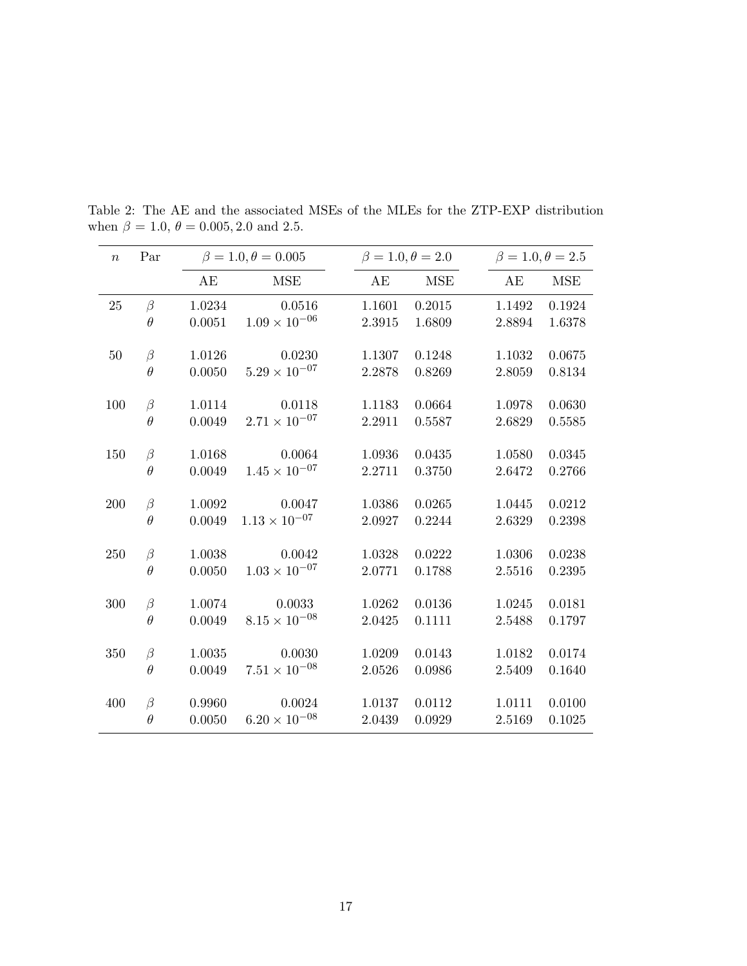| $\boldsymbol{n}$ | Par      |        | $\beta = 1.0, \theta = 0.005$ | $\beta = 1.0, \theta = 2.0$ |            | $\beta = 1.0, \theta = 2.5$ |            |
|------------------|----------|--------|-------------------------------|-----------------------------|------------|-----------------------------|------------|
|                  |          | AE     | <b>MSE</b>                    | AE                          | <b>MSE</b> | AE                          | <b>MSE</b> |
| 25               | $\beta$  | 1.0234 | 0.0516                        | 1.1601                      | 0.2015     | 1.1492                      | 0.1924     |
|                  | $\theta$ | 0.0051 | $1.09 \times 10^{-06}$        | 2.3915                      | 1.6809     | $\phantom{-}2.8894$         | 1.6378     |
| $50\,$           | $\beta$  | 1.0126 | 0.0230                        | 1.1307                      | 0.1248     | 1.1032                      | 0.0675     |
|                  | $\theta$ | 0.0050 | $5.29 \times 10^{-07}$        | 2.2878                      | 0.8269     | 2.8059                      | 0.8134     |
| 100              | $\beta$  | 1.0114 | 0.0118                        | 1.1183                      | 0.0664     | 1.0978                      | 0.0630     |
|                  | $\theta$ | 0.0049 | $2.71 \times 10^{-07}$        | 2.2911                      | 0.5587     | 2.6829                      | 0.5585     |
| 150              | $\beta$  | 1.0168 | 0.0064                        | 1.0936                      | 0.0435     | 1.0580                      | 0.0345     |
|                  | $\theta$ | 0.0049 | $1.45 \times 10^{-07}$        | 2.2711                      | 0.3750     | 2.6472                      | 0.2766     |
| 200              | $\beta$  | 1.0092 | 0.0047                        | 1.0386                      | 0.0265     | 1.0445                      | 0.0212     |
|                  | $\theta$ | 0.0049 | $1.13\times10^{-07}$          | 2.0927                      | 0.2244     | 2.6329                      | 0.2398     |
| 250              | $\beta$  | 1.0038 | 0.0042                        | 1.0328                      | 0.0222     | 1.0306                      | 0.0238     |
|                  | $\theta$ | 0.0050 | $1.03 \times 10^{-07}$        | 2.0771                      | 0.1788     | 2.5516                      | 0.2395     |
| 300              | $\beta$  | 1.0074 | 0.0033                        | 1.0262                      | 0.0136     | 1.0245                      | 0.0181     |
|                  | $\theta$ | 0.0049 | $8.15 \times 10^{-08}$        | 2.0425                      | 0.1111     | 2.5488                      | 0.1797     |
| 350              | $\beta$  | 1.0035 | 0.0030                        | 1.0209                      | 0.0143     | 1.0182                      | 0.0174     |
|                  | $\theta$ | 0.0049 | $7.51 \times 10^{-08}$        | 2.0526                      | 0.0986     | 2.5409                      | 0.1640     |
| 400              | $\beta$  | 0.9960 | 0.0024                        | 1.0137                      | 0.0112     | 1.0111                      | 0.0100     |
|                  | $\theta$ | 0.0050 | $6.20 \times 10^{-08}$        | 2.0439                      | 0.0929     | 2.5169                      | 0.1025     |

Table 2: The AE and the associated MSEs of the MLEs for the ZTP-EXP distribution when  $\beta = 1.0, \theta = 0.005, 2.0$  and 2.5.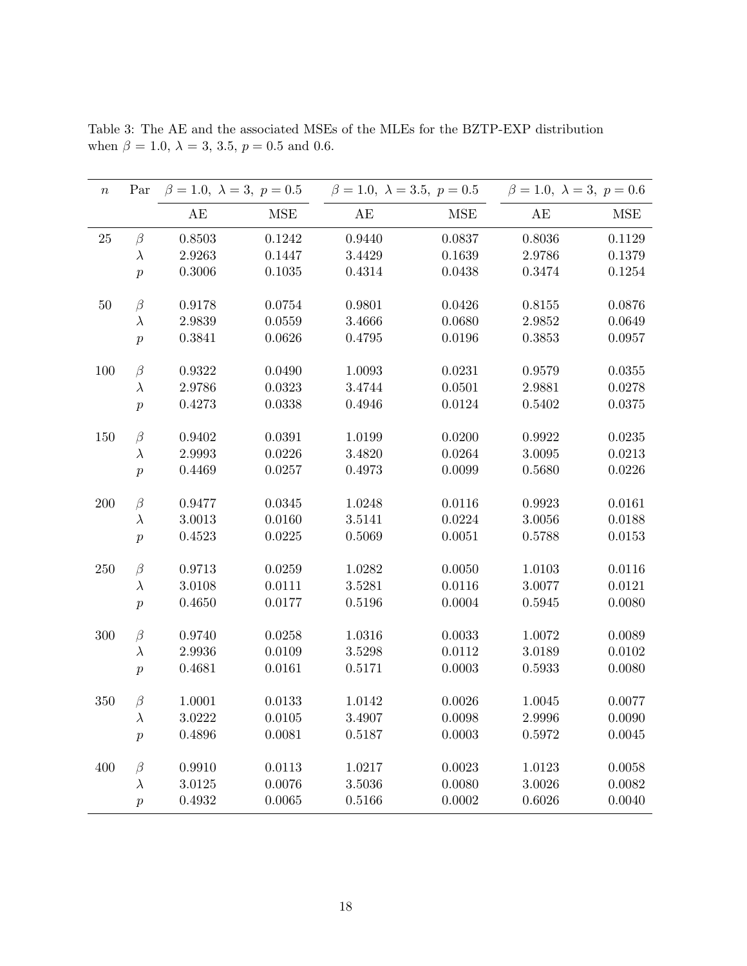| $\, n$ | Par              | $\beta = 1.0, \lambda = 3, p = 0.5$ |            | $\beta = 1.0, \ \lambda = 3.5, \ p = 0.5$ |              | $\beta = 1.0, \lambda = 3, p = 0.6$ |            |
|--------|------------------|-------------------------------------|------------|-------------------------------------------|--------------|-------------------------------------|------------|
|        |                  | AE                                  | <b>MSE</b> | AE                                        | MSE          | $\mathbf{A}\mathbf{E}$              | <b>MSE</b> |
| $25\,$ | $\beta$          | 0.8503                              | 0.1242     | 0.9440                                    | 0.0837       | 0.8036                              | 0.1129     |
|        | $\lambda$        | 2.9263                              | 0.1447     | 3.4429                                    | 0.1639       | 2.9786                              | 0.1379     |
|        | $\boldsymbol{p}$ | 0.3006                              | 0.1035     | 0.4314                                    | 0.0438       | 0.3474                              | 0.1254     |
| $50\,$ | $\beta$          | 0.9178                              | 0.0754     | 0.9801                                    | 0.0426       | 0.8155                              | 0.0876     |
|        | $\lambda$        | 2.9839                              | 0.0559     | 3.4666                                    | 0.0680       | 2.9852                              | 0.0649     |
|        | $\boldsymbol{p}$ | 0.3841                              | 0.0626     | 0.4795                                    | 0.0196       | 0.3853                              | 0.0957     |
| 100    | $\beta$          | 0.9322                              | 0.0490     | 1.0093                                    | 0.0231       | 0.9579                              | 0.0355     |
|        | $\lambda$        | 2.9786                              | 0.0323     | 3.4744                                    | 0.0501       | 2.9881                              | 0.0278     |
|        | $\boldsymbol{p}$ | 0.4273                              | 0.0338     | 0.4946                                    | 0.0124       | 0.5402                              | 0.0375     |
| 150    | $\beta$          | 0.9402                              | 0.0391     | 1.0199                                    | 0.0200       | 0.9922                              | 0.0235     |
|        | $\lambda$        | 2.9993                              | 0.0226     | 3.4820                                    | 0.0264       | 3.0095                              | 0.0213     |
|        | $\boldsymbol{p}$ | 0.4469                              | 0.0257     | 0.4973                                    | 0.0099       | 0.5680                              | 0.0226     |
| 200    | $\beta$          | 0.9477                              | 0.0345     | 1.0248                                    | 0.0116       | 0.9923                              | 0.0161     |
|        | $\lambda$        | 3.0013                              | 0.0160     | 3.5141                                    | 0.0224       | 3.0056                              | 0.0188     |
|        | $\boldsymbol{p}$ | 0.4523                              | 0.0225     | 0.5069                                    | 0.0051       | 0.5788                              | 0.0153     |
| 250    | $\beta$          | 0.9713                              | 0.0259     | 1.0282                                    | 0.0050       | 1.0103                              | 0.0116     |
|        | $\lambda$        | 3.0108                              | 0.0111     | 3.5281                                    | 0.0116       | 3.0077                              | 0.0121     |
|        | $\boldsymbol{p}$ | 0.4650                              | 0.0177     | 0.5196                                    | 0.0004       | 0.5945                              | 0.0080     |
| 300    | $\beta$          | 0.9740                              | 0.0258     | 1.0316                                    | $\,0.0033\,$ | 1.0072                              | 0.0089     |
|        | $\lambda$        | 2.9936                              | 0.0109     | 3.5298                                    | 0.0112       | 3.0189                              | 0.0102     |
|        | $\boldsymbol{p}$ | 0.4681                              | 0.0161     | 0.5171                                    | 0.0003       | 0.5933                              | 0.0080     |
| 350    | $\beta$          | 1.0001                              | 0.0133     | 1.0142                                    | 0.0026       | 1.0045                              | 0.0077     |
|        | $\lambda$        | 3.0222                              | 0.0105     | 3.4907                                    | 0.0098       | 2.9996                              | 0.0090     |
|        | $\,p\,$          | 0.4896                              | 0.0081     | 0.5187                                    | 0.0003       | 0.5972                              | 0.0045     |
| 400    | $\beta$          | 0.9910                              | 0.0113     | 1.0217                                    | 0.0023       | 1.0123                              | 0.0058     |
|        | $\lambda$        | 3.0125                              | 0.0076     | 3.5036                                    | 0.0080       | 3.0026                              | 0.0082     |
|        | $\boldsymbol{p}$ | 0.4932                              | 0.0065     | 0.5166                                    | 0.0002       | 0.6026                              | 0.0040     |

Table 3: The AE and the associated MSEs of the MLEs for the BZTP-EXP distribution when  $\beta = 1.0, \lambda = 3, 3.5, p = 0.5$  and 0.6.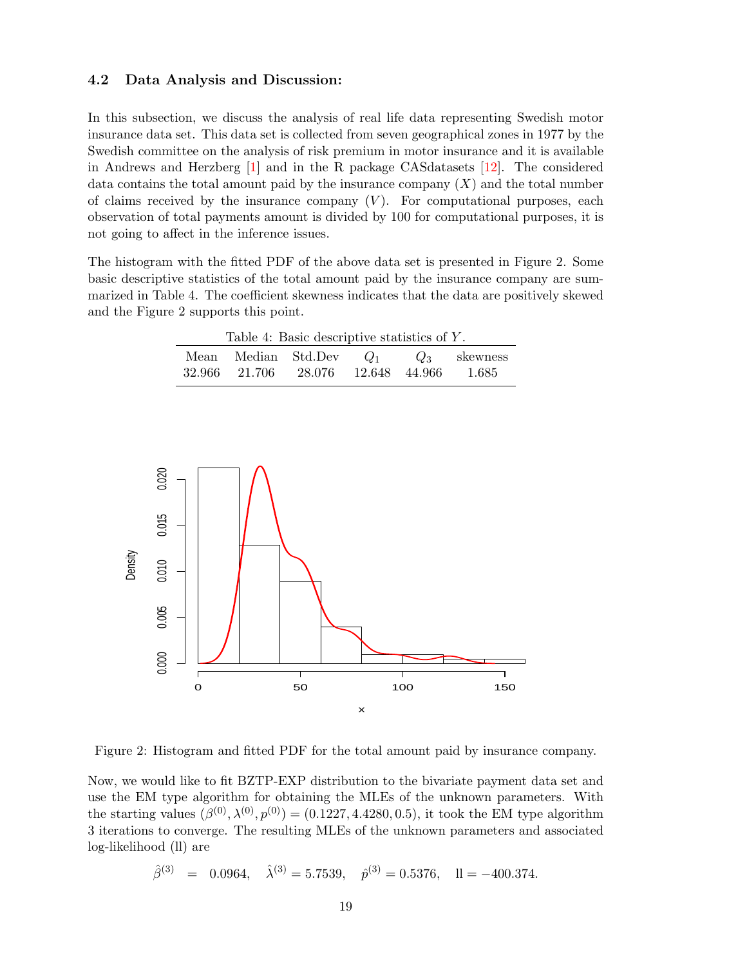### 4.2 Data Analysis and Discussion:

In this subsection, we discuss the analysis of real life data representing Swedish motor insurance data set. This data set is collected from seven geographical zones in 1977 by the Swedish committee on the analysis of risk premium in motor insurance and it is available in Andrews and Herzberg [\[1\]](#page-30-14) and in the R package CASdatasets [\[12\]](#page-30-15). The considered data contains the total amount paid by the insurance company  $(X)$  and the total number of claims received by the insurance company  $(V)$ . For computational purposes, each observation of total payments amount is divided by 100 for computational purposes, it is not going to affect in the inference issues.

The histogram with the fitted PDF of the above data set is presented in Figure 2. Some basic descriptive statistics of the total amount paid by the insurance company are summarized in Table 4. The coefficient skewness indicates that the data are positively skewed and the Figure 2 supports this point.

| Table 4: Basic descriptive statistics of Y. |                                          |  |  |  |         |  |  |  |  |
|---------------------------------------------|------------------------------------------|--|--|--|---------|--|--|--|--|
|                                             | Mean Median Std.Dev $Q_1$ $Q_3$ skewness |  |  |  |         |  |  |  |  |
|                                             | 32.966 21.706 28.076 12.648 44.966       |  |  |  | - 1.685 |  |  |  |  |



Figure 2: Histogram and fitted PDF for the total amount paid by insurance company.

Now, we would like to fit BZTP-EXP distribution to the bivariate payment data set and use the EM type algorithm for obtaining the MLEs of the unknown parameters. With the starting values  $(\beta^{(0)}, \lambda^{(0)}, p^{(0)}) = (0.1227, 4.4280, 0.5)$ , it took the EM type algorithm 3 iterations to converge. The resulting MLEs of the unknown parameters and associated log-likelihood (ll) are

 $\hat{\beta}^{(3)} = 0.0964, \quad \hat{\lambda}^{(3)} = 5.7539, \quad \hat{p}^{(3)} = 0.5376, \quad \Pi = -400.374.$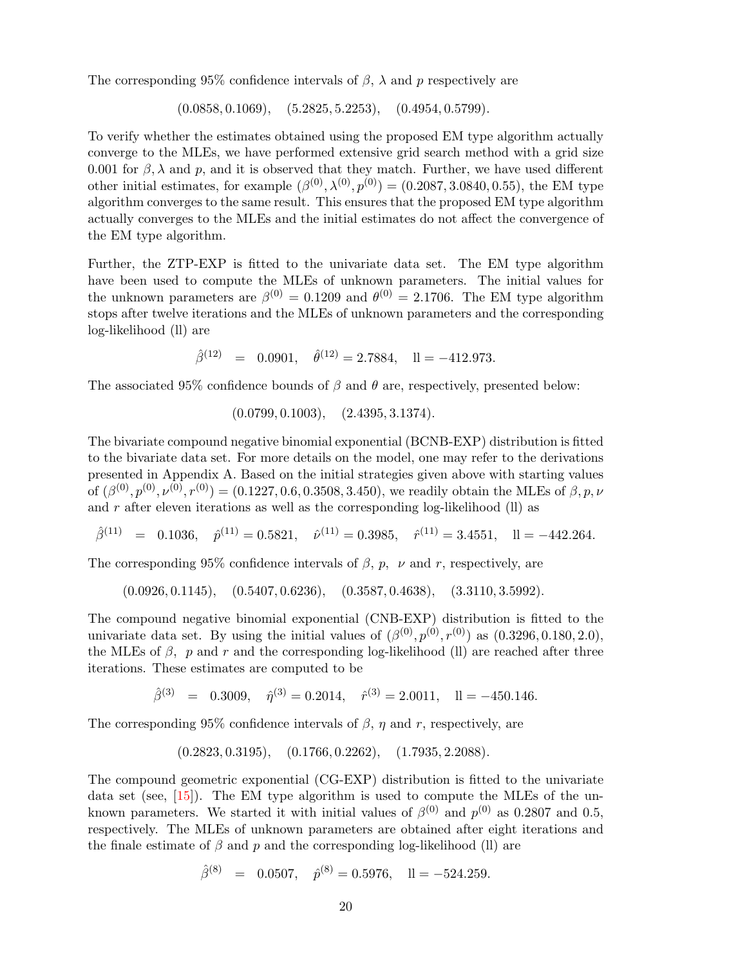The corresponding 95% confidence intervals of  $\beta$ ,  $\lambda$  and p respectively are

 $(0.0858, 0.1069), (5.2825, 5.2253), (0.4954, 0.5799).$ 

To verify whether the estimates obtained using the proposed EM type algorithm actually converge to the MLEs, we have performed extensive grid search method with a grid size 0.001 for  $\beta$ ,  $\lambda$  and p, and it is observed that they match. Further, we have used different other initial estimates, for example  $(\beta^{(0)}, \lambda^{(0)}, p^{(0)}) = (0.2087, 3.0840, 0.55)$ , the EM type algorithm converges to the same result. This ensures that the proposed EM type algorithm actually converges to the MLEs and the initial estimates do not affect the convergence of the EM type algorithm.

Further, the ZTP-EXP is fitted to the univariate data set. The EM type algorithm have been used to compute the MLEs of unknown parameters. The initial values for the unknown parameters are  $\beta^{(0)} = 0.1209$  and  $\theta^{(0)} = 2.1706$ . The EM type algorithm stops after twelve iterations and the MLEs of unknown parameters and the corresponding log-likelihood (ll) are

 $\hat{\beta}^{(12)} = 0.0901, \quad \hat{\theta}^{(12)} = 2.7884, \quad \Pi = -412.973.$ 

The associated 95% confidence bounds of  $\beta$  and  $\theta$  are, respectively, presented below:

 $(0.0799, 0.1003), (2.4395, 3.1374).$ 

The bivariate compound negative binomial exponential (BCNB-EXP) distribution is fitted to the bivariate data set. For more details on the model, one may refer to the derivations presented in Appendix A. Based on the initial strategies given above with starting values of  $(\beta^{(0)}, p^{(0)}, \nu^{(0)}, r^{(0)}) = (0.1227, 0.6, 0.3508, 3.450)$ , we readily obtain the MLEs of  $\beta, p, \nu$ and  $r$  after eleven iterations as well as the corresponding log-likelihood (ll) as

 $\hat{\beta}^{(11)} = 0.1036, \quad \hat{p}^{(11)} = 0.5821, \quad \hat{\nu}^{(11)} = 0.3985, \quad \hat{r}^{(11)} = 3.4551, \quad \Pi = -442.264.$ 

The corresponding 95% confidence intervals of  $\beta$ ,  $p$ ,  $\nu$  and r, respectively, are

$$
(0.0926, 0.1145), (0.5407, 0.6236), (0.3587, 0.4638), (3.3110, 3.5992).
$$

The compound negative binomial exponential (CNB-EXP) distribution is fitted to the univariate data set. By using the initial values of  $(\beta^{(0)}, p^{(0)}, r^{(0)})$  as  $(0.3296, 0.180, 2.0)$ , the MLEs of  $\beta$ , p and r and the corresponding log-likelihood (ll) are reached after three iterations. These estimates are computed to be

 $\hat{\beta}^{(3)} = 0.3009, \quad \hat{\eta}^{(3)} = 0.2014, \quad \hat{r}^{(3)} = 2.0011, \quad \text{ll} = -450.146.$ 

The corresponding 95% confidence intervals of  $\beta$ ,  $\eta$  and r, respectively, are

$$
(0.2823, 0.3195), \quad (0.1766, 0.2262), \quad (1.7935, 2.2088).
$$

The compound geometric exponential (CG-EXP) distribution is fitted to the univariate data set (see, [\[15\]](#page-30-8)). The EM type algorithm is used to compute the MLEs of the unknown parameters. We started it with initial values of  $\beta^{(0)}$  and  $p^{(0)}$  as 0.2807 and 0.5, respectively. The MLEs of unknown parameters are obtained after eight iterations and the finale estimate of  $\beta$  and  $p$  and the corresponding log-likelihood (ll) are

$$
\hat{\beta}^{(8)} = 0.0507, \quad \hat{p}^{(8)} = 0.5976, \quad \text{ll} = -524.259.
$$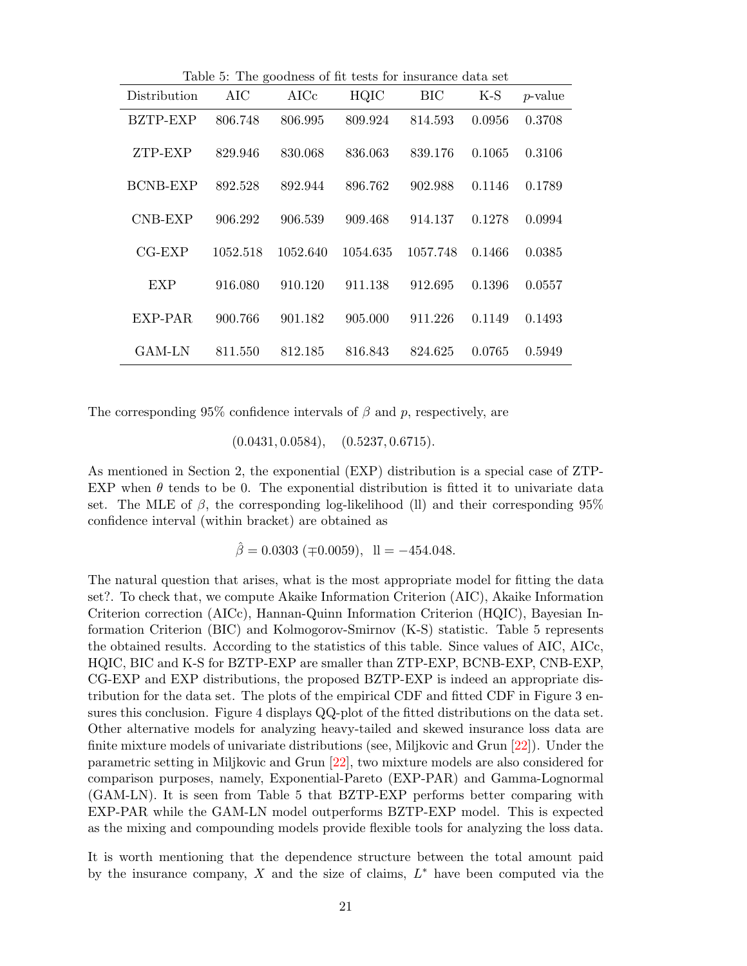| Table 5: The goodness of fit tests for insurance data set |          |            |          |          |        |            |  |  |  |  |
|-----------------------------------------------------------|----------|------------|----------|----------|--------|------------|--|--|--|--|
| Distribution                                              | AIC      | $\rm AICc$ | HQIC     | BIC      | $K-S$  | $p$ -value |  |  |  |  |
| BZTP-EXP                                                  | 806.748  | 806.995    | 809.924  | 814.593  | 0.0956 | 0.3708     |  |  |  |  |
| ZTP-EXP                                                   | 829.946  | 830.068    | 836.063  | 839.176  | 0.1065 | 0.3106     |  |  |  |  |
| BCNB-EXP                                                  | 892.528  | 892.944    | 896.762  | 902.988  | 0.1146 | 0.1789     |  |  |  |  |
| CNB-EXP                                                   | 906.292  | 906.539    | 909.468  | 914.137  | 0.1278 | 0.0994     |  |  |  |  |
| $CG-EXP$                                                  | 1052.518 | 1052.640   | 1054.635 | 1057.748 | 0.1466 | 0.0385     |  |  |  |  |
| EXP                                                       | 916.080  | 910.120    | 911.138  | 912.695  | 0.1396 | 0.0557     |  |  |  |  |
| EXP-PAR                                                   | 900.766  | 901.182    | 905,000  | 911.226  | 0.1149 | 0.1493     |  |  |  |  |
| GAM-LN                                                    | 811.550  | 812.185    | 816.843  | 824.625  | 0.0765 | 0.5949     |  |  |  |  |

Table 5: The goodness of fit tests for insurance data set

The corresponding 95% confidence intervals of  $\beta$  and p, respectively, are

 $(0.0431, 0.0584), \quad (0.5237, 0.6715).$ 

As mentioned in Section 2, the exponential (EXP) distribution is a special case of ZTP-EXP when  $\theta$  tends to be 0. The exponential distribution is fitted it to univariate data set. The MLE of  $\beta$ , the corresponding log-likelihood (ll) and their corresponding 95% confidence interval (within bracket) are obtained as

 $\hat{\beta} = 0.0303 \ (\pm 0.0059), \ \ \text{ll} = -454.048.$ 

The natural question that arises, what is the most appropriate model for fitting the data set?. To check that, we compute Akaike Information Criterion (AIC), Akaike Information Criterion correction (AICc), Hannan-Quinn Information Criterion (HQIC), Bayesian Information Criterion (BIC) and Kolmogorov-Smirnov (K-S) statistic. Table 5 represents the obtained results. According to the statistics of this table. Since values of AIC, AICc, HQIC, BIC and K-S for BZTP-EXP are smaller than ZTP-EXP, BCNB-EXP, CNB-EXP, CG-EXP and EXP distributions, the proposed BZTP-EXP is indeed an appropriate distribution for the data set. The plots of the empirical CDF and fitted CDF in Figure 3 ensures this conclusion. Figure 4 displays QQ-plot of the fitted distributions on the data set. Other alternative models for analyzing heavy-tailed and skewed insurance loss data are finite mixture models of univariate distributions (see, Miljkovic and Grun [\[22\]](#page-31-10)). Under the parametric setting in Miljkovic and Grun [\[22\]](#page-31-10), two mixture models are also considered for comparison purposes, namely, Exponential-Pareto (EXP-PAR) and Gamma-Lognormal (GAM-LN). It is seen from Table 5 that BZTP-EXP performs better comparing with EXP-PAR while the GAM-LN model outperforms BZTP-EXP model. This is expected as the mixing and compounding models provide flexible tools for analyzing the loss data.

It is worth mentioning that the dependence structure between the total amount paid by the insurance company,  $X$  and the size of claims,  $L^*$  have been computed via the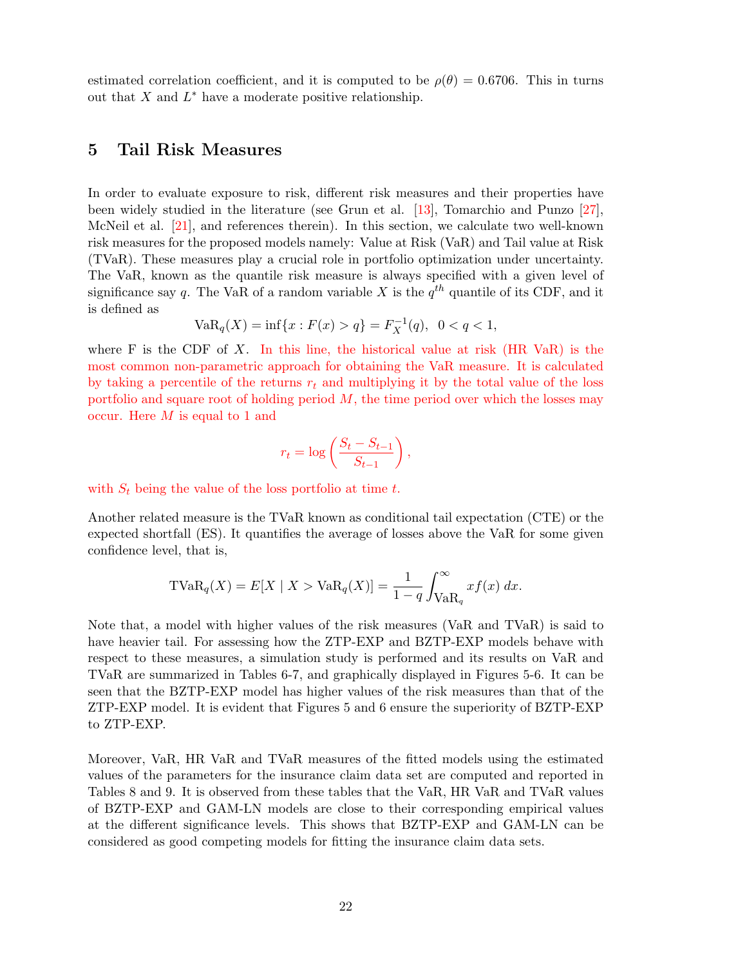estimated correlation coefficient, and it is computed to be  $\rho(\theta) = 0.6706$ . This in turns out that  $X$  and  $L^*$  have a moderate positive relationship.

### 5 Tail Risk Measures

In order to evaluate exposure to risk, different risk measures and their properties have been widely studied in the literature (see Grun et al. [\[13\]](#page-30-12), Tomarchio and Punzo [\[27\]](#page-31-6), McNeil et al. [\[21\]](#page-31-11), and references therein). In this section, we calculate two well-known risk measures for the proposed models namely: Value at Risk (VaR) and Tail value at Risk (TVaR). These measures play a crucial role in portfolio optimization under uncertainty. The VaR, known as the quantile risk measure is always specified with a given level of significance say q. The VaR of a random variable X is the  $q^{th}$  quantile of its CDF, and it is defined as

$$
VaR_q(X) = \inf\{x : F(x) > q\} = F_X^{-1}(q), \ \ 0 < q < 1,
$$

where F is the CDF of X. In this line, the historical value at risk  $(HR \text{ VaR})$  is the most common non-parametric approach for obtaining the VaR measure. It is calculated by taking a percentile of the returns  $r_t$  and multiplying it by the total value of the loss portfolio and square root of holding period  $M$ , the time period over which the losses may occur. Here M is equal to 1 and

$$
r_t = \log\left(\frac{S_t - S_{t-1}}{S_{t-1}}\right),\,
$$

with  $S_t$  being the value of the loss portfolio at time t.

Another related measure is the TVaR known as conditional tail expectation (CTE) or the expected shortfall (ES). It quantifies the average of losses above the VaR for some given confidence level, that is,

$$
TVaR_{q}(X) = E[X \mid X > VaR_{q}(X)] = \frac{1}{1-q} \int_{VaR_{q}}^{\infty} x f(x) dx.
$$

Note that, a model with higher values of the risk measures (VaR and TVaR) is said to have heavier tail. For assessing how the ZTP-EXP and BZTP-EXP models behave with respect to these measures, a simulation study is performed and its results on VaR and TVaR are summarized in Tables 6-7, and graphically displayed in Figures 5-6. It can be seen that the BZTP-EXP model has higher values of the risk measures than that of the ZTP-EXP model. It is evident that Figures 5 and 6 ensure the superiority of BZTP-EXP to ZTP-EXP.

Moreover, VaR, HR VaR and TVaR measures of the fitted models using the estimated values of the parameters for the insurance claim data set are computed and reported in Tables 8 and 9. It is observed from these tables that the VaR, HR VaR and TVaR values of BZTP-EXP and GAM-LN models are close to their corresponding empirical values at the different significance levels. This shows that BZTP-EXP and GAM-LN can be considered as good competing models for fitting the insurance claim data sets.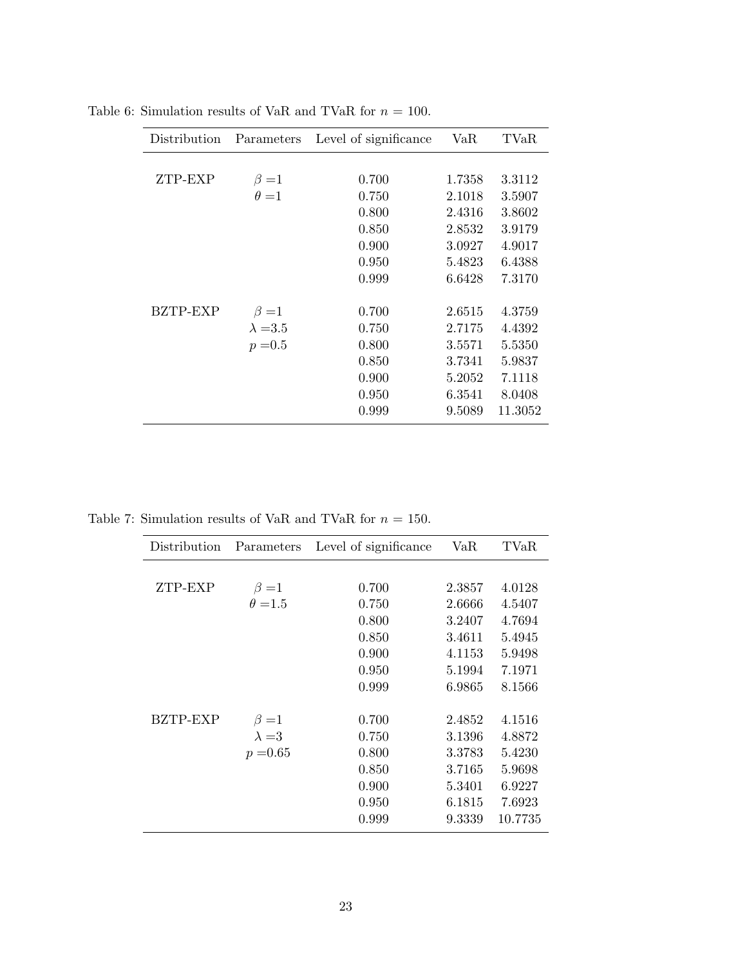| Distribution | Parameters      | Level of significance | VaR    | $\text{TVaR}$ |
|--------------|-----------------|-----------------------|--------|---------------|
|              |                 |                       |        |               |
| ZTP-EXP      | $\beta = 1$     | 0.700                 | 1.7358 | 3.3112        |
|              | $\theta = 1$    | 0.750                 | 2.1018 | 3.5907        |
|              |                 | 0.800                 | 2.4316 | 3.8602        |
|              |                 | 0.850                 | 2.8532 | 3.9179        |
|              |                 | 0.900                 | 3.0927 | 4.9017        |
|              |                 | 0.950                 | 5.4823 | 6.4388        |
|              |                 | 0.999                 | 6.6428 | 7.3170        |
| BZTP-EXP     | $\beta = 1$     | 0.700                 | 2.6515 | 4.3759        |
|              | $\lambda = 3.5$ | 0.750                 | 2.7175 | 4.4392        |
|              | $p = 0.5$       | 0.800                 | 3.5571 | 5.5350        |
|              |                 | 0.850                 | 3.7341 | 5.9837        |
|              |                 | 0.900                 | 5.2052 | 7.1118        |
|              |                 | 0.950                 | 6.3541 | 8.0408        |
|              |                 | 0.999                 | 9.5089 | 11.3052       |

Table 6: Simulation results of VaR and TVaR for  $n = 100$ .

Table 7: Simulation results of VaR and TVaR for  $n = 150$ .

| Distribution | Parameters     | Level of significance | VaR    | TVaR    |
|--------------|----------------|-----------------------|--------|---------|
|              |                |                       |        |         |
| ZTP-EXP      | $\beta = 1$    | 0.700                 | 2.3857 | 4.0128  |
|              | $\theta = 1.5$ | 0.750                 | 2.6666 | 4.5407  |
|              |                | 0.800                 | 3.2407 | 4.7694  |
|              |                | 0.850                 | 3.4611 | 5.4945  |
|              |                | 0.900                 | 4.1153 | 5.9498  |
|              |                | 0.950                 | 5.1994 | 7.1971  |
|              |                | 0.999                 | 6.9865 | 8.1566  |
|              |                |                       |        |         |
| BZTP-EXP     | $\beta=1$      | 0.700                 | 2.4852 | 4.1516  |
|              | $\lambda = 3$  | 0.750                 | 3.1396 | 4.8872  |
|              | $p = 0.65$     | 0.800                 | 3.3783 | 5.4230  |
|              |                | 0.850                 | 3.7165 | 5.9698  |
|              |                | 0.900                 | 5.3401 | 6.9227  |
|              |                | 0.950                 | 6.1815 | 7.6923  |
|              |                | 0.999                 | 9.3339 | 10.7735 |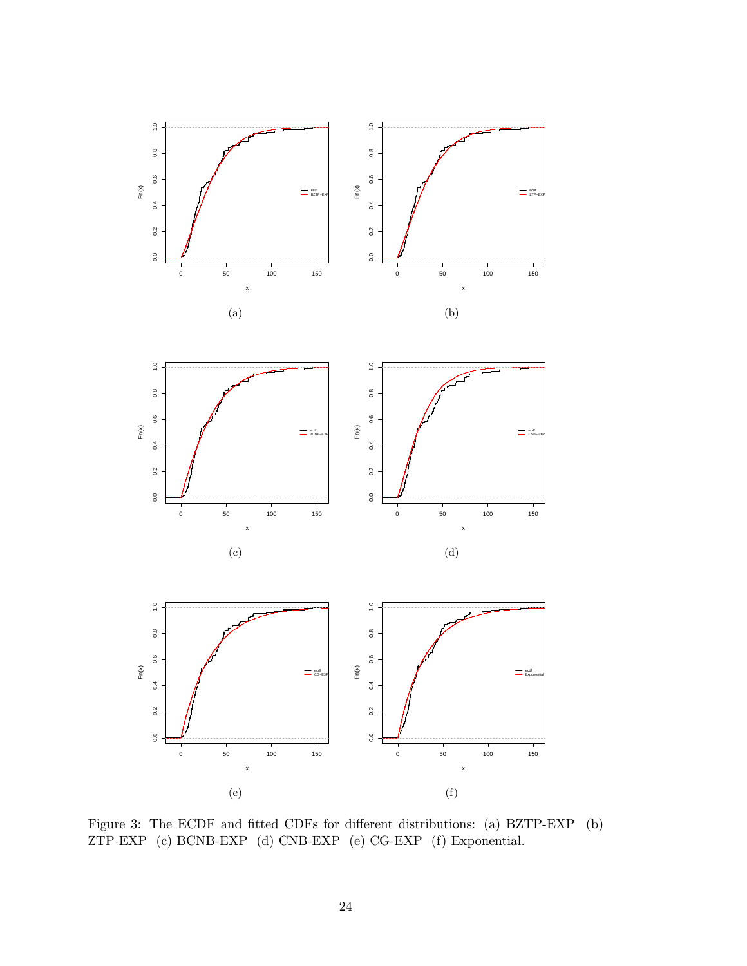

Figure 3: The ECDF and fitted CDFs for different distributions: (a) BZTP-EXP (b) ZTP-EXP (c) BCNB-EXP (d) CNB-EXP (e) CG-EXP (f) Exponential.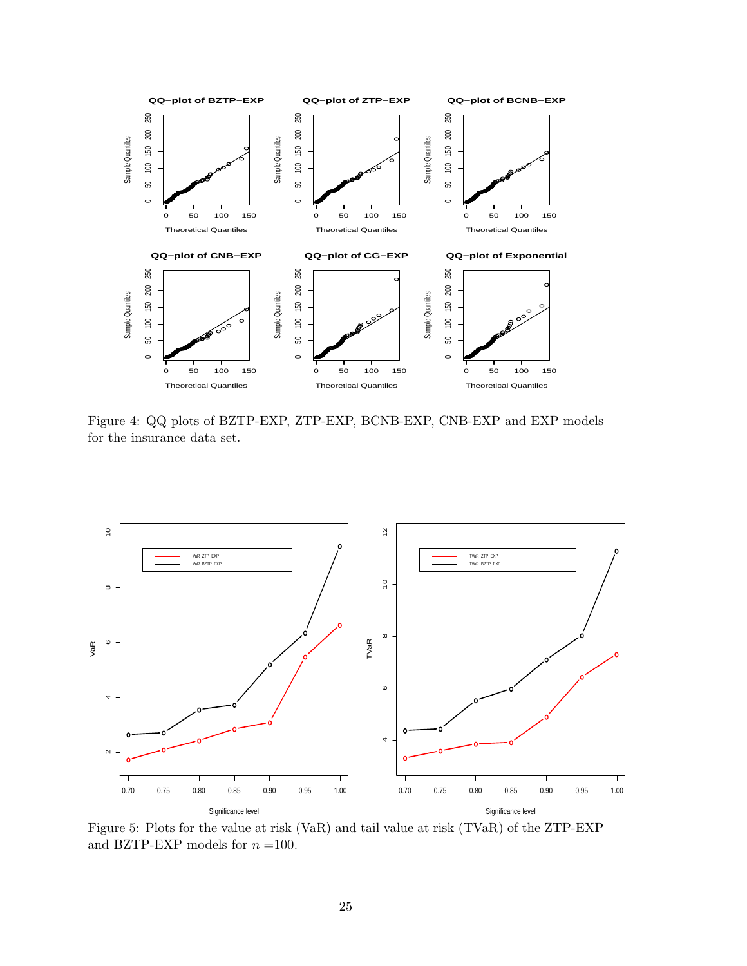

Figure 4: QQ plots of BZTP-EXP, ZTP-EXP, BCNB-EXP, CNB-EXP and EXP models for the insurance data set.



Figure 5: Plots for the value at risk (VaR) and tail value at risk (TVaR) of the ZTP-EXP and BZTP-EXP models for  $n = 100$ .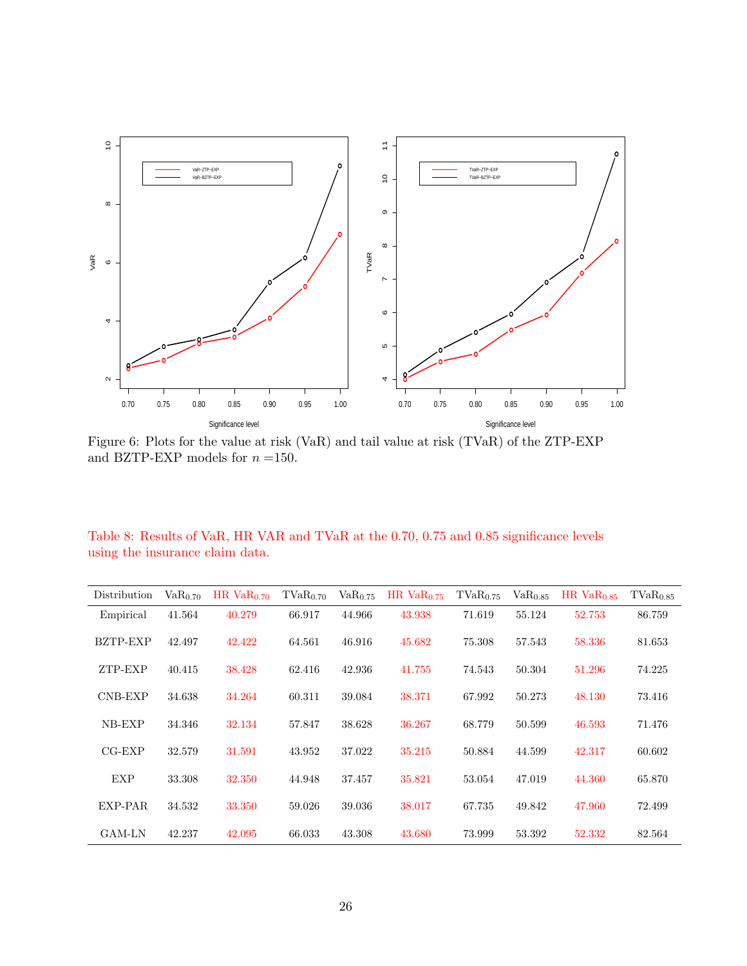

Figure 6: Plots for the value at risk (VaR) and tail value at risk (TVaR) of the ZTP-EXP and BZTP-EXP models for  $n = 150$ .

|                                 |  |  |  |  | Table 8: Results of VaR, HR VAR and TVaR at the 0.70, 0.75 and 0.85 significance levels |  |
|---------------------------------|--|--|--|--|-----------------------------------------------------------------------------------------|--|
| using the insurance claim data. |  |  |  |  |                                                                                         |  |

| Distribution  | $VaR_{0.70}$ | HR Va $R_{0,70}$ | $TVaR_{0.70}$ | VaR <sub>0.75</sub> | HR Va $R_{0.75}$ | $TVaR_{0.75}$ | VaR <sub>0.85</sub> | $HR$ Va $R0.85$ | $TVaR_{0.85}$ |
|---------------|--------------|------------------|---------------|---------------------|------------------|---------------|---------------------|-----------------|---------------|
| Empirical     | 41.564       | 40.279           | 66.917        | 44.966              | 43.938           | 71.619        | 55.124              | 52.753          | 86.759        |
| BZTP-EXP      | 42.497       | 42.422           | 64.561        | 46.916              | 45.682           | 75.308        | 57.543              | 58.336          | 81.653        |
| ZTP-EXP       | 40.415       | 38.428           | 62.416        | 42.936              | 41.755           | 74.543        | 50.304              | 51.296          | 74.225        |
| CNB-EXP       | 34.638       | 34.264           | 60.311        | 39.084              | 38.371           | 67.992        | 50.273              | 48.130          | 73.416        |
| NB-EXP        | 34.346       | 32.134           | 57.847        | 38.628              | 36.267           | 68.779        | 50.599              | 46.593          | 71.476        |
| $CG-EXP$      | 32.579       | 31.591           | 43.952        | 37.022              | 35.215           | 50.884        | 44.599              | 42.317          | 60.602        |
| <b>EXP</b>    | 33.308       | 32.350           | 44.948        | 37.457              | 35.821           | 53.054        | 47.019              | 44.360          | 65.870        |
| EXP-PAR       | 34.532       | 33.350           | 59.026        | 39.036              | 38.017           | 67.735        | 49.842              | 47.960          | 72.499        |
| <b>GAM-LN</b> | 42.237       | 42.095           | 66.033        | 43.308              | 43.680           | 73.999        | 53.392              | 52.332          | 82.564        |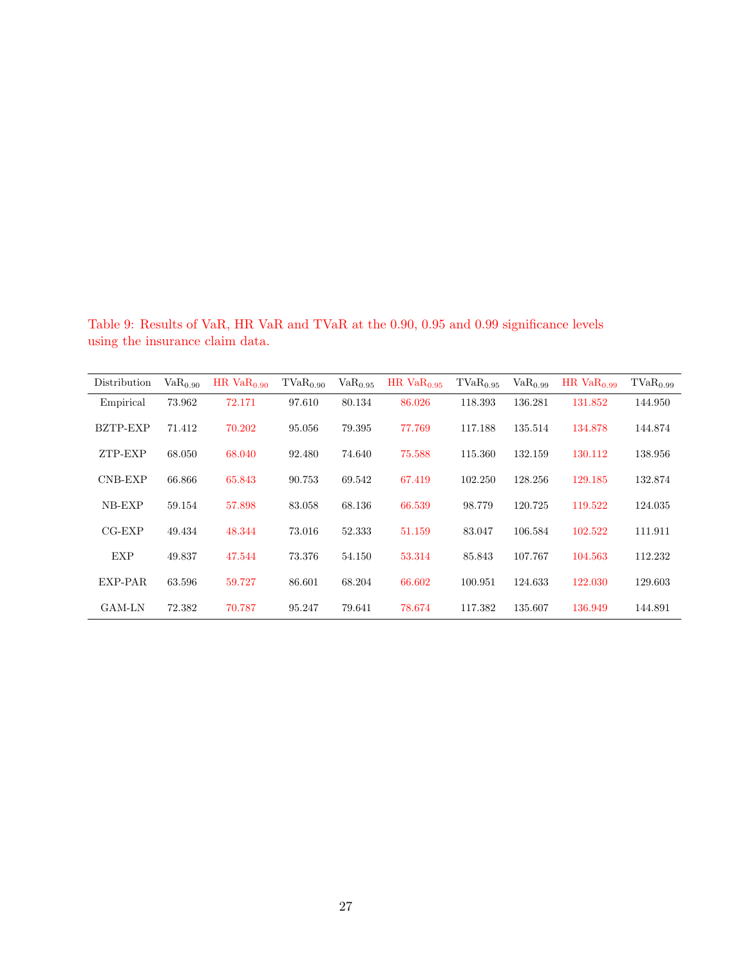Table 9: Results of VaR, HR VaR and TVaR at the 0.90, 0.95 and 0.99 significance levels using the insurance claim data.

| Distribution | VaR <sub>0.90</sub> | HR $VaR0.90$ | $TVaR_{0.90}$ | VaR <sub>0.95</sub> | $HR$ Va $R_0$ 95 | $TVaR_{0.95}$ | VaR <sub>0.99</sub> | $HR$ $VaR0.99$ | $TVaR_{0.99}$ |
|--------------|---------------------|--------------|---------------|---------------------|------------------|---------------|---------------------|----------------|---------------|
| Empirical    | 73.962              | 72.171       | 97.610        | 80.134              | 86.026           | 118.393       | 136.281             | 131.852        | 144.950       |
| BZTP-EXP     | 71.412              | 70.202       | 95.056        | 79.395              | 77.769           | 117.188       | 135.514             | 134.878        | 144.874       |
| ZTP-EXP      | 68.050              | 68.040       | 92.480        | 74.640              | 75.588           | 115.360       | 132.159             | 130.112        | 138.956       |
| CNB-EXP      | 66.866              | 65.843       | 90.753        | 69.542              | 67.419           | 102.250       | 128.256             | 129.185        | 132.874       |
| NB-EXP       | 59.154              | 57.898       | 83.058        | 68.136              | 66.539           | 98.779        | 120.725             | 119.522        | 124.035       |
| $CG-EXP$     | 49.434              | 48.344       | 73.016        | 52.333              | 51.159           | 83.047        | 106.584             | 102.522        | 111.911       |
| <b>EXP</b>   | 49.837              | 47.544       | 73.376        | 54.150              | 53.314           | 85.843        | 107.767             | 104.563        | 112.232       |
| EXP-PAR      | 63.596              | 59.727       | 86.601        | 68.204              | 66.602           | 100.951       | 124.633             | 122.030        | 129.603       |
| GAM-LN       | 72.382              | 70.787       | 95.247        | 79.641              | 78.674           | 117.382       | 135.607             | 136.949        | 144.891       |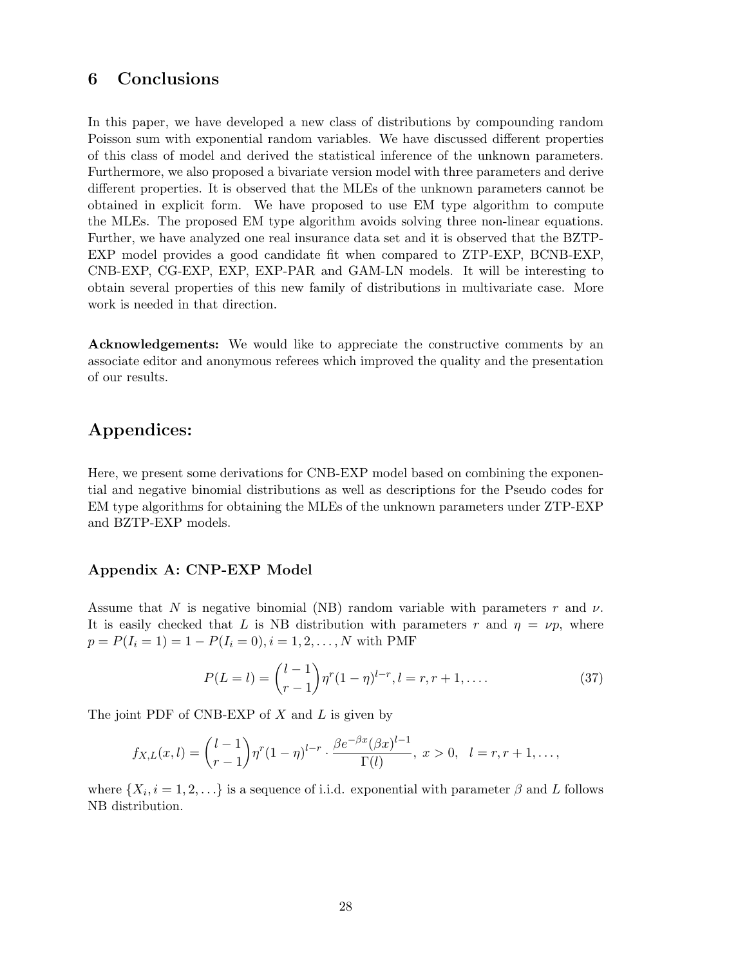## 6 Conclusions

In this paper, we have developed a new class of distributions by compounding random Poisson sum with exponential random variables. We have discussed different properties of this class of model and derived the statistical inference of the unknown parameters. Furthermore, we also proposed a bivariate version model with three parameters and derive different properties. It is observed that the MLEs of the unknown parameters cannot be obtained in explicit form. We have proposed to use EM type algorithm to compute the MLEs. The proposed EM type algorithm avoids solving three non-linear equations. Further, we have analyzed one real insurance data set and it is observed that the BZTP-EXP model provides a good candidate fit when compared to ZTP-EXP, BCNB-EXP, CNB-EXP, CG-EXP, EXP, EXP-PAR and GAM-LN models. It will be interesting to obtain several properties of this new family of distributions in multivariate case. More work is needed in that direction.

Acknowledgements: We would like to appreciate the constructive comments by an associate editor and anonymous referees which improved the quality and the presentation of our results.

## Appendices:

Here, we present some derivations for CNB-EXP model based on combining the exponential and negative binomial distributions as well as descriptions for the Pseudo codes for EM type algorithms for obtaining the MLEs of the unknown parameters under ZTP-EXP and BZTP-EXP models.

### Appendix A: CNP-EXP Model

Assume that N is negative binomial (NB) random variable with parameters r and  $\nu$ . It is easily checked that L is NB distribution with parameters r and  $\eta = \nu p$ , where  $p = P(I_i = 1) = 1 - P(I_i = 0), i = 1, 2, ..., N$  with PMF

$$
P(L=l) = {l-1 \choose r-1} \eta^r (1-\eta)^{l-r}, l=r, r+1, ....
$$
\n(37)

The joint PDF of CNB-EXP of  $X$  and  $L$  is given by

$$
f_{X,L}(x,l) = {l-1 \choose r-1} \eta^r (1-\eta)^{l-r} \cdot \frac{\beta e^{-\beta x} (\beta x)^{l-1}}{\Gamma(l)}, \ x > 0, \ l = r, r+1, \dots,
$$

where  $\{X_i, i = 1, 2, \ldots\}$  is a sequence of i.i.d. exponential with parameter  $\beta$  and L follows NB distribution.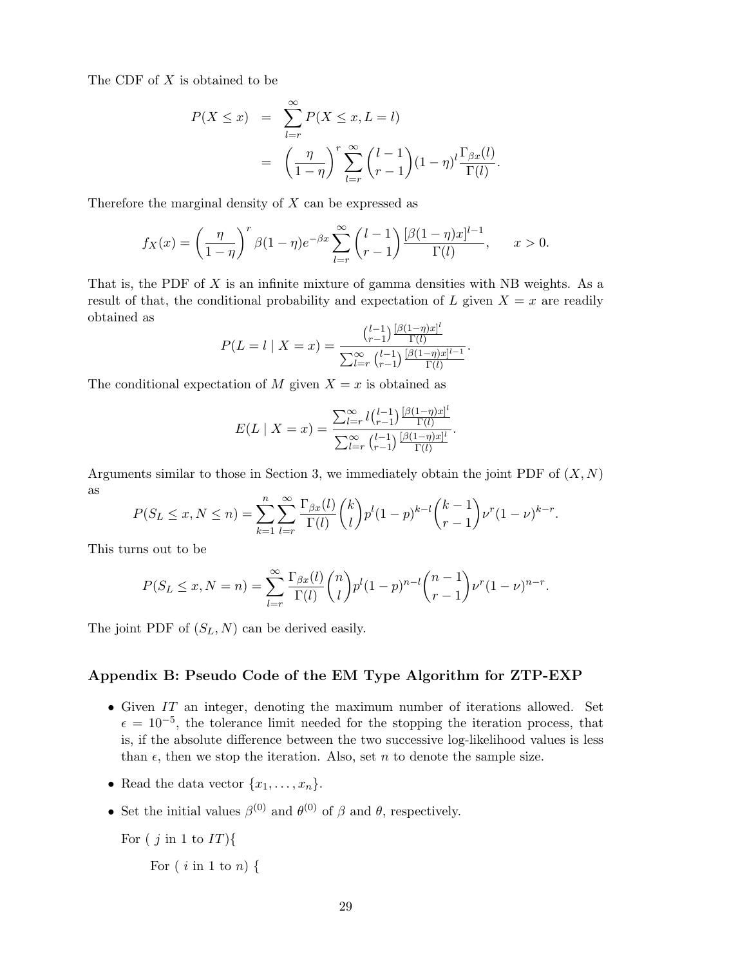The CDF of X is obtained to be

$$
P(X \le x) = \sum_{l=r}^{\infty} P(X \le x, L = l)
$$
  
= 
$$
\left(\frac{\eta}{1-\eta}\right)^r \sum_{l=r}^{\infty} {l-1 \choose r-1} (1-\eta)^l \frac{\Gamma_{\beta x}(l)}{\Gamma(l)}.
$$

Therefore the marginal density of  $X$  can be expressed as

$$
f_X(x) = \left(\frac{\eta}{1-\eta}\right)^r \beta(1-\eta)e^{-\beta x} \sum_{l=r}^{\infty} \binom{l-1}{r-1} \frac{[\beta(1-\eta)x]^{l-1}}{\Gamma(l)}, \qquad x > 0.
$$

That is, the PDF of  $X$  is an infinite mixture of gamma densities with NB weights. As a result of that, the conditional probability and expectation of L given  $X = x$  are readily obtained as

$$
P(L = l \mid X = x) = \frac{\binom{l-1}{r-1} \frac{[\beta(1-\eta)x]^l}{\Gamma(l)}}{\sum_{l=r}^{\infty} \binom{l-1}{r-1} \frac{[\beta(1-\eta)x]^{l-1}}{\Gamma(l)}}.
$$

The conditional expectation of M given  $X = x$  is obtained as

$$
E(L \mid X = x) = \frac{\sum_{l=r}^{\infty} l {l-1 \choose r-1} \frac{[\beta(1-\eta)x]^l}{\Gamma(l)}}{\sum_{l=r}^{\infty} {l-1 \choose r-1} \frac{[\beta(1-\eta)x]^l}{\Gamma(l)}}.
$$

Arguments similar to those in Section 3, we immediately obtain the joint PDF of  $(X, N)$ as

$$
P(S_L \le x, N \le n) = \sum_{k=1}^n \sum_{l=r}^{\infty} \frac{\Gamma_{\beta x}(l)}{\Gamma(l)} {k \choose l} p^l (1-p)^{k-l} {k-1 \choose r-1} \nu^r (1-\nu)^{k-r}.
$$

This turns out to be

$$
P(S_L \le x, N = n) = \sum_{l=r}^{\infty} \frac{\Gamma_{\beta x}(l)}{\Gamma(l)} {n \choose l} p^l (1-p)^{n-l} {n-1 \choose r-1} \nu^r (1-\nu)^{n-r}.
$$

The joint PDF of  $(S_L, N)$  can be derived easily.

#### Appendix B: Pseudo Code of the EM Type Algorithm for ZTP-EXP

- Given  $IT$  an integer, denoting the maximum number of iterations allowed. Set  $\epsilon = 10^{-5}$ , the tolerance limit needed for the stopping the iteration process, that is, if the absolute difference between the two successive log-likelihood values is less than  $\epsilon$ , then we stop the iteration. Also, set n to denote the sample size.
- Read the data vector  $\{x_1, \ldots, x_n\}$ .
- Set the initial values  $\beta^{(0)}$  and  $\theta^{(0)}$  of  $\beta$  and  $\theta$ , respectively.

```
For ( j in 1 to IT){
```
For  $(i \text{ in } 1 \text{ to } n)$  {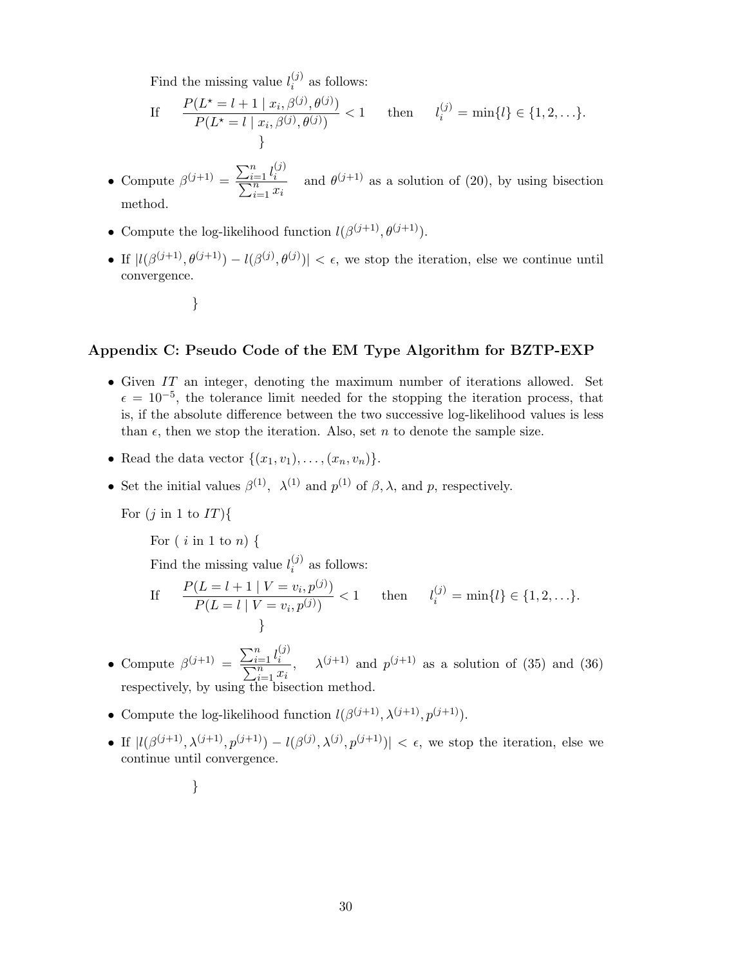Find the missing value  $l_i^{(j)}$  $i^{(J)}$  as follows:

If 
$$
\frac{P(L^* = l + 1 | x_i, \beta^{(j)}, \theta^{(j)})}{P(L^* = l | x_i, \beta^{(j)}, \theta^{(j)})} < 1 \quad \text{then} \quad l_i^{(j)} = \min\{l\} \in \{1, 2, \ldots\}.
$$

- Compute  $\beta^{(j+1)} = \frac{\sum_{i=1}^n l_i^{(j)}}{\sum_{i=1}^n j_i^{(j)}}$ P  $\frac{e^{-1}}{n}$  and  $\theta^{(j+1)}$  as a solution of (20), by using bisection method.
- Compute the log-likelihood function  $l(\beta^{(j+1)}, \theta^{(j+1)})$ .
- If  $|l(\beta^{(j+1)}, \theta^{(j+1)}) l(\beta^{(j)}, \theta^{(j)})| < \epsilon$ , we stop the iteration, else we continue until convergence.
	- }

### Appendix C: Pseudo Code of the EM Type Algorithm for BZTP-EXP

- Given IT an integer, denoting the maximum number of iterations allowed. Set  $\epsilon = 10^{-5}$ , the tolerance limit needed for the stopping the iteration process, that is, if the absolute difference between the two successive log-likelihood values is less than  $\epsilon$ , then we stop the iteration. Also, set n to denote the sample size.
- Read the data vector  $\{(x_1, v_1), \ldots, (x_n, v_n)\}.$
- Set the initial values  $\beta^{(1)}$ ,  $\lambda^{(1)}$  and  $p^{(1)}$  of  $\beta$ ,  $\lambda$ , and  $p$ , respectively.

For  $(j \text{ in } 1 \text{ to } IT)$ 

For  $(i \text{ in } 1 \text{ to } n)$  {

Find the missing value  $l_i^{(j)}$  $i^{(J)}$  as follows:

If 
$$
\frac{P(L = l + 1 | V = v_i, p^{(j)})}{P(L = l | V = v_i, p^{(j)})} < 1 \quad \text{then} \quad l_i^{(j)} = \min\{l\} \in \{1, 2, \ldots\}.
$$

- Compute  $\beta^{(j+1)} = \frac{\sum_{i=1}^n l_i^{(j)}}{\sum_{i=1}^n j_i^{(j)}}$  $\sum$  $\frac{1}{n}$ ,  $\lambda^{(j+1)}$  and  $p^{(j+1)}$  as a solution of (35) and (36) respectively, by using the bisection method.
- Compute the log-likelihood function  $l(\beta^{(j+1)}, \lambda^{(j+1)}, p^{(j+1)})$ .
- If  $|l(\beta^{(j+1)},\lambda^{(j+1)},p^{(j+1)})-l(\beta^{(j)},\lambda^{(j)},p^{(j+1)})|<\epsilon$ , we stop the iteration, else we continue until convergence.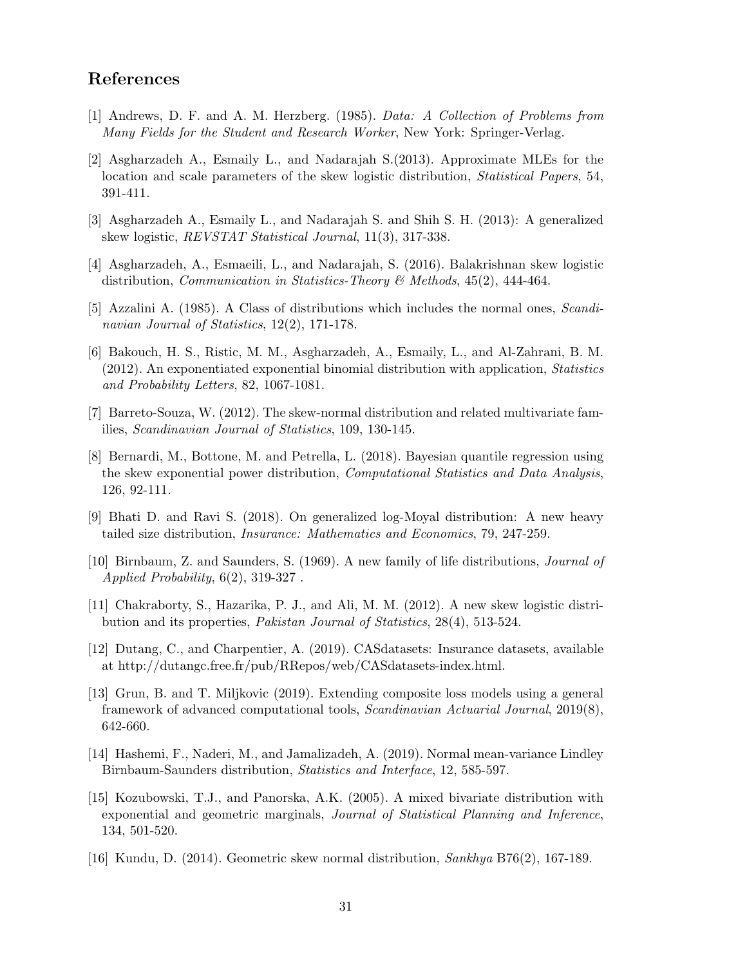## References

- <span id="page-30-14"></span>[1] Andrews, D. F. and A. M. Herzberg. (1985). Data: A Collection of Problems from Many Fields for the Student and Research Worker, New York: Springer-Verlag.
- <span id="page-30-4"></span>[2] Asgharzadeh A., Esmaily L., and Nadarajah S.(2013). Approximate MLEs for the location and scale parameters of the skew logistic distribution, *Statistical Papers*, 54, 391-411.
- <span id="page-30-5"></span>[3] Asgharzadeh A., Esmaily L., and Nadarajah S. and Shih S. H. (2013): A generalized skew logistic, REVSTAT Statistical Journal, 11(3), 317-338.
- <span id="page-30-1"></span>[4] Asgharzadeh, A., Esmaeili, L., and Nadarajah, S. (2016). Balakrishnan skew logistic distribution, Communication in Statistics-Theory & Methods, 45(2), 444-464.
- <span id="page-30-0"></span>[5] Azzalini A. (1985). A Class of distributions which includes the normal ones, Scandinavian Journal of Statistics, 12(2), 171-178.
- <span id="page-30-6"></span>[6] Bakouch, H. S., Ristic, M. M., Asgharzadeh, A., Esmaily, L., and Al-Zahrani, B. M. (2012). An exponentiated exponential binomial distribution with application, Statistics and Probability Letters, 82, 1067-1081.
- <span id="page-30-2"></span>[7] Barreto-Souza, W. (2012). The skew-normal distribution and related multivariate families, Scandinavian Journal of Statistics, 109, 130-145.
- <span id="page-30-11"></span>[8] Bernardi, M., Bottone, M. and Petrella, L. (2018). Bayesian quantile regression using the skew exponential power distribution, Computational Statistics and Data Analysis, 126, 92-111.
- <span id="page-30-13"></span>[9] Bhati D. and Ravi S. (2018). On generalized log-Moyal distribution: A new heavy tailed size distribution, Insurance: Mathematics and Economics, 79, 247-259.
- <span id="page-30-9"></span>[10] Birnbaum, Z. and Saunders, S. (1969). A new family of life distributions, Journal of Applied Probability, 6(2), 319-327 .
- <span id="page-30-3"></span>[11] Chakraborty, S., Hazarika, P. J., and Ali, M. M. (2012). A new skew logistic distribution and its properties, Pakistan Journal of Statistics, 28(4), 513-524.
- <span id="page-30-15"></span>[12] Dutang, C., and Charpentier, A. (2019). CASdatasets: Insurance datasets, available at http://dutangc.free.fr/pub/RRepos/web/CASdatasets-index.html.
- <span id="page-30-12"></span>[13] Grun, B. and T. Miljkovic (2019). Extending composite loss models using a general framework of advanced computational tools, Scandinavian Actuarial Journal, 2019(8), 642-660.
- <span id="page-30-10"></span>[14] Hashemi, F., Naderi, M., and Jamalizadeh, A. (2019). Normal mean-variance Lindley Birnbaum-Saunders distribution, Statistics and Interface, 12, 585-597.
- <span id="page-30-8"></span>[15] Kozubowski, T.J., and Panorska, A.K. (2005). A mixed bivariate distribution with exponential and geometric marginals, Journal of Statistical Planning and Inference, 134, 501-520.
- <span id="page-30-7"></span>[16] Kundu, D. (2014). Geometric skew normal distribution, Sankhya B76(2), 167-189.